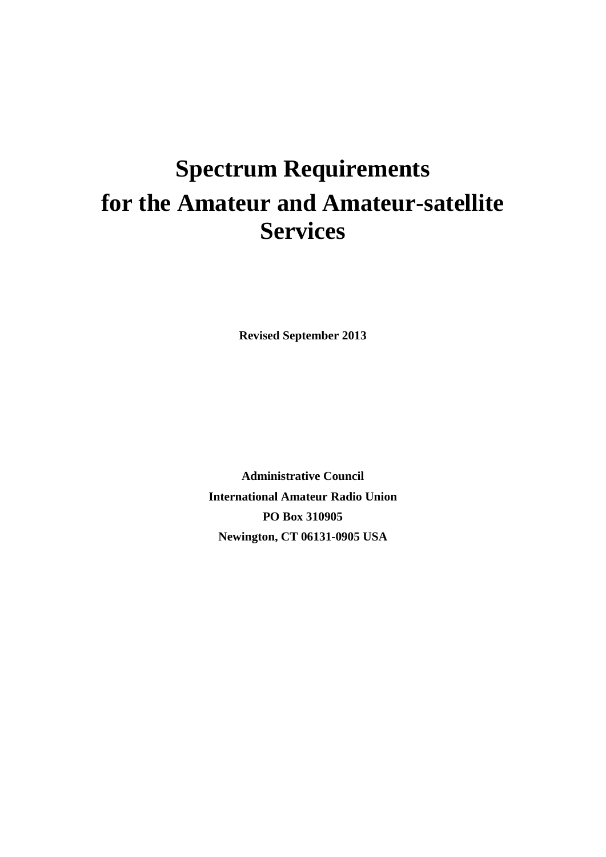# **Spectrum Requirements for the Amateur and Amateur-satellite Services**

**Revised September 2013**

**Administrative Council International Amateur Radio Union PO Box 310905 Newington, CT 06131-0905 USA**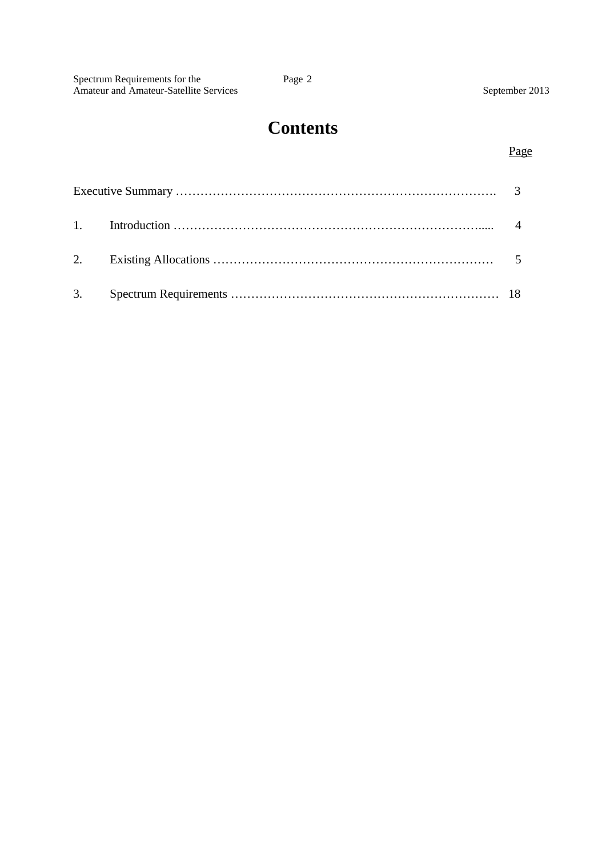| Spectrum Requirements for the                 | Page 2 |                |
|-----------------------------------------------|--------|----------------|
| <b>Amateur and Amateur-Satellite Services</b> |        | September 2013 |

# **Contents**

### Page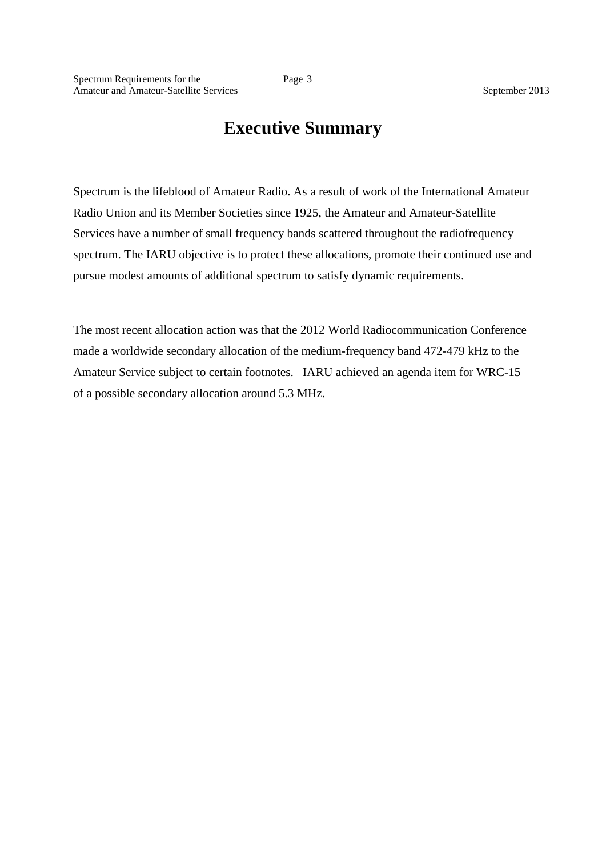# **Executive Summary**

Spectrum is the lifeblood of Amateur Radio. As a result of work of the International Amateur Radio Union and its Member Societies since 1925, the Amateur and Amateur-Satellite Services have a number of small frequency bands scattered throughout the radiofrequency spectrum. The IARU objective is to protect these allocations, promote their continued use and pursue modest amounts of additional spectrum to satisfy dynamic requirements.

The most recent allocation action was that the 2012 World Radiocommunication Conference made a worldwide secondary allocation of the medium-frequency band 472-479 kHz to the Amateur Service subject to certain footnotes. IARU achieved an agenda item for WRC-15 of a possible secondary allocation around 5.3 MHz.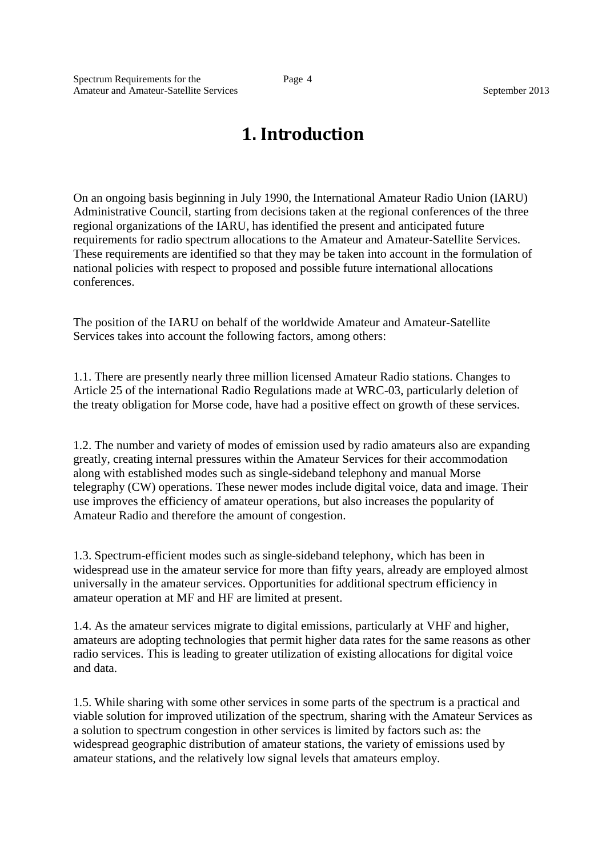# **1. Introduction**

On an ongoing basis beginning in July 1990, the International Amateur Radio Union (IARU) Administrative Council, starting from decisions taken at the regional conferences of the three regional organizations of the IARU, has identified the present and anticipated future requirements for radio spectrum allocations to the Amateur and Amateur-Satellite Services. These requirements are identified so that they may be taken into account in the formulation of national policies with respect to proposed and possible future international allocations conferences.

The position of the IARU on behalf of the worldwide Amateur and Amateur-Satellite Services takes into account the following factors, among others:

1.1. There are presently nearly three million licensed Amateur Radio stations. Changes to Article 25 of the international Radio Regulations made at WRC-03, particularly deletion of the treaty obligation for Morse code, have had a positive effect on growth of these services.

1.2. The number and variety of modes of emission used by radio amateurs also are expanding greatly, creating internal pressures within the Amateur Services for their accommodation along with established modes such as single-sideband telephony and manual Morse telegraphy (CW) operations. These newer modes include digital voice, data and image. Their use improves the efficiency of amateur operations, but also increases the popularity of Amateur Radio and therefore the amount of congestion.

1.3. Spectrum-efficient modes such as single-sideband telephony, which has been in widespread use in the amateur service for more than fifty years, already are employed almost universally in the amateur services. Opportunities for additional spectrum efficiency in amateur operation at MF and HF are limited at present.

1.4. As the amateur services migrate to digital emissions, particularly at VHF and higher, amateurs are adopting technologies that permit higher data rates for the same reasons as other radio services. This is leading to greater utilization of existing allocations for digital voice and data.

1.5. While sharing with some other services in some parts of the spectrum is a practical and viable solution for improved utilization of the spectrum, sharing with the Amateur Services as a solution to spectrum congestion in other services is limited by factors such as: the widespread geographic distribution of amateur stations, the variety of emissions used by amateur stations, and the relatively low signal levels that amateurs employ.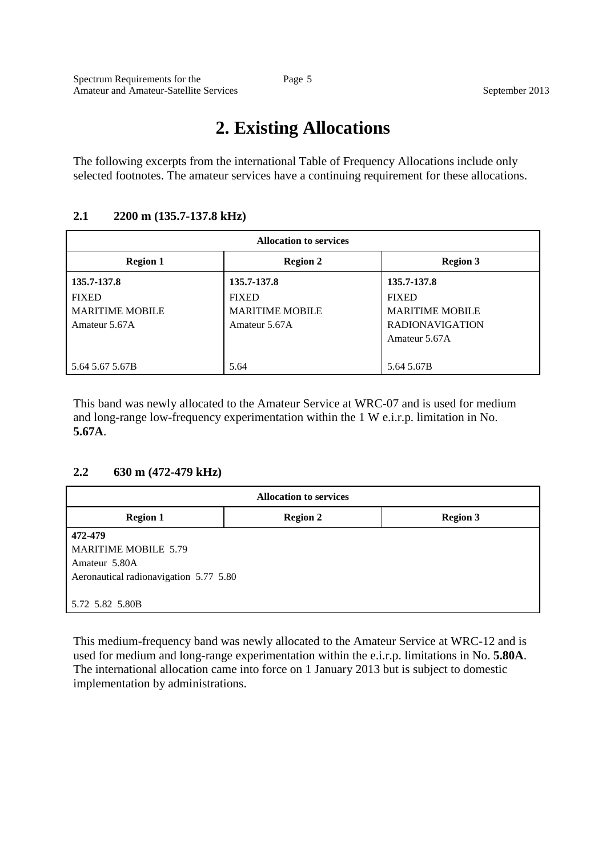# **2. Existing Allocations**

The following excerpts from the international Table of Frequency Allocations include only selected footnotes. The amateur services have a continuing requirement for these allocations.

#### **2.1 2200 m (135.7-137.8 kHz)**

| <b>Allocation to services</b> |                        |                        |
|-------------------------------|------------------------|------------------------|
| <b>Region 1</b>               | <b>Region 2</b>        | <b>Region 3</b>        |
| 135.7-137.8                   | 135.7-137.8            | 135.7-137.8            |
| <b>FIXED</b>                  | <b>FIXED</b>           | <b>FIXED</b>           |
| <b>MARITIME MOBILE</b>        | <b>MARITIME MOBILE</b> | <b>MARITIME MOBILE</b> |
| Amateur 5.67A                 | Amateur 5.67A          | <b>RADIONAVIGATION</b> |
|                               |                        | Amateur 5.67A          |
|                               |                        |                        |
| 5.64 5.67 5.67B               | 5.64                   | 5.64 5.67B             |

This band was newly allocated to the Amateur Service at WRC-07 and is used for medium and long-range low-frequency experimentation within the 1 W e.i.r.p. limitation in No. **5.67A**.

#### **2.2 630 m (472-479 kHz)**

| <b>Allocation to services</b>          |                 |                 |  |
|----------------------------------------|-----------------|-----------------|--|
| <b>Region 1</b>                        | <b>Region 2</b> | <b>Region 3</b> |  |
| 472-479                                |                 |                 |  |
| <b>MARITIME MOBILE 5.79</b>            |                 |                 |  |
| Amateur 5.80A                          |                 |                 |  |
| Aeronautical radionavigation 5.77 5.80 |                 |                 |  |
|                                        |                 |                 |  |
| 5.72 5.82 5.80B                        |                 |                 |  |

This medium-frequency band was newly allocated to the Amateur Service at WRC-12 and is used for medium and long-range experimentation within the e.i.r.p. limitations in No. **5.80A**. The international allocation came into force on 1 January 2013 but is subject to domestic implementation by administrations.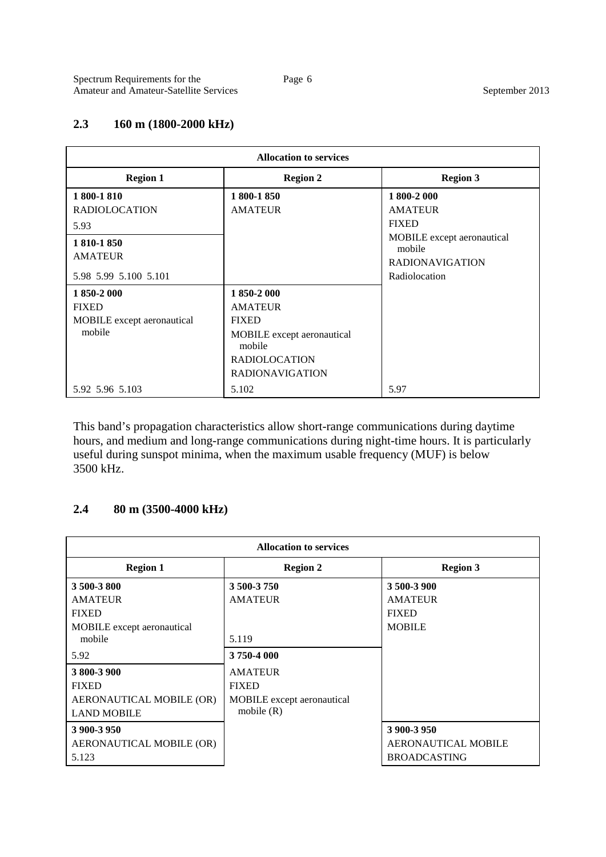#### **2.3 160 m (1800-2000 kHz)**

| <b>Allocation to services</b> |                                             |                                         |  |
|-------------------------------|---------------------------------------------|-----------------------------------------|--|
| <b>Region 1</b>               | <b>Region 2</b>                             | <b>Region 3</b>                         |  |
| 1 800-1 810                   | 1800-1850                                   | 1 800-2 000                             |  |
| <b>RADIOLOCATION</b><br>5.93  | <b>AMATEUR</b>                              | <b>AMATEUR</b><br><b>FIXED</b>          |  |
| 1 810-1 850<br><b>AMATEUR</b> |                                             | MOBILE except aeronautical<br>mobile    |  |
| 5.98 5.99 5.100 5.101         |                                             | <b>RADIONAVIGATION</b><br>Radiolocation |  |
| 1850-2000                     | 1850-2000                                   |                                         |  |
| <b>FIXED</b>                  | <b>AMATEUR</b>                              |                                         |  |
| MOBILE except aeronautical    | <b>FIXED</b>                                |                                         |  |
| mobile                        | <b>MOBILE</b> except aeronautical<br>mobile |                                         |  |
|                               | <b>RADIOLOCATION</b>                        |                                         |  |
|                               | <b>RADIONAVIGATION</b>                      |                                         |  |
| 5.92 5.96 5.103               | 5.102                                       | 5.97                                    |  |

This band's propagation characteristics allow short-range communications during daytime hours, and medium and long-range communications during night-time hours. It is particularly useful during sunspot minima, when the maximum usable frequency (MUF) is below 3500 kHz.

#### **2.4 80 m (3500-4000 kHz)**

| <b>Allocation to services</b> |                                   |                            |  |
|-------------------------------|-----------------------------------|----------------------------|--|
| <b>Region 1</b>               | <b>Region 2</b>                   | <b>Region 3</b>            |  |
| 3 500-3 800                   | 3 500-3 750                       | 3 500-3 900                |  |
| <b>AMATEUR</b>                | <b>AMATEUR</b>                    | <b>AMATEUR</b>             |  |
| <b>FIXED</b>                  |                                   | <b>FIXED</b>               |  |
| MOBILE except aeronautical    |                                   | <b>MOBILE</b>              |  |
| mobile                        | 5.119                             |                            |  |
| 5.92                          | 3750-4000                         |                            |  |
| 3 800-3 900                   | <b>AMATEUR</b>                    |                            |  |
| <b>FIXED</b>                  | <b>FIXED</b>                      |                            |  |
| AERONAUTICAL MOBILE (OR)      | <b>MOBILE</b> except aeronautical |                            |  |
| <b>LAND MOBILE</b>            | mobile $(R)$                      |                            |  |
| 3 900-3 950                   |                                   | 3 900-3 950                |  |
| AERONAUTICAL MOBILE (OR)      |                                   | <b>AERONAUTICAL MOBILE</b> |  |
| 5.123                         |                                   | <b>BROADCASTING</b>        |  |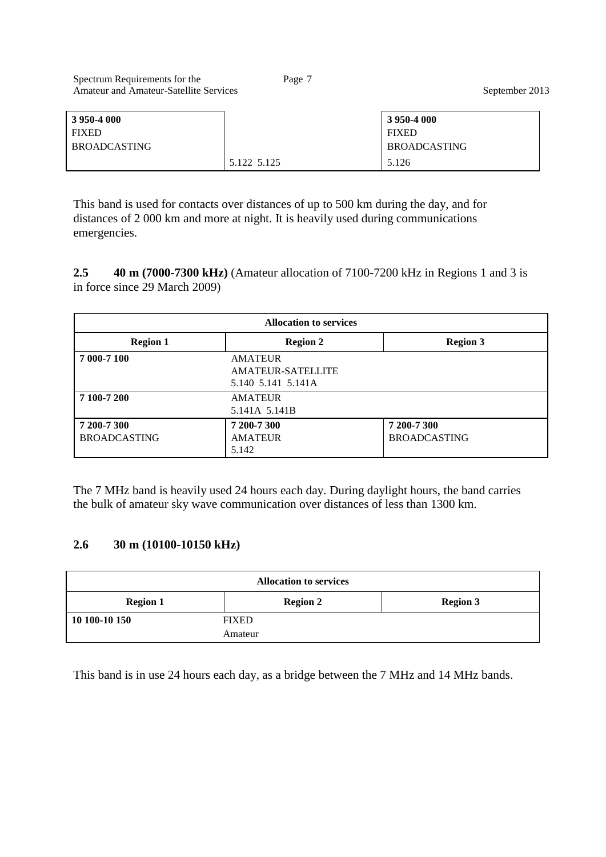| Spectrum Requirements for the<br><b>Amateur and Amateur-Satellite Services</b> | Page 7 |                     | September 2013 |
|--------------------------------------------------------------------------------|--------|---------------------|----------------|
| 3 950-4 000                                                                    |        | 3 950-4 000         |                |
| <b>FIXED</b>                                                                   |        | <b>FIXED</b>        |                |
| <b>BROADCASTING</b>                                                            |        | <b>BROADCASTING</b> |                |

5.122 5.125 5.126

This band is used for contacts over distances of up to 500 km during the day, and for distances of 2 000 km and more at night. It is heavily used during communications emergencies.

**2.5 40 m (7000-7300 kHz)** (Amateur allocation of 7100-7200 kHz in Regions 1 and 3 is in force since 29 March 2009)

| <b>Allocation to services</b>      |                                                                  |                                    |
|------------------------------------|------------------------------------------------------------------|------------------------------------|
| <b>Region 1</b>                    | <b>Region 2</b>                                                  | <b>Region 3</b>                    |
| 7 000-7 100                        | <b>AMATEUR</b><br><b>AMATEUR-SATELLITE</b><br>5.140 5.141 5.141A |                                    |
| 7 100-7 200                        | <b>AMATEUR</b><br>5.141A 5.141B                                  |                                    |
| 7 200-7 300<br><b>BROADCASTING</b> | 7 200-7 300<br><b>AMATEUR</b><br>5.142                           | 7 200-7 300<br><b>BROADCASTING</b> |

The 7 MHz band is heavily used 24 hours each day. During daylight hours, the band carries the bulk of amateur sky wave communication over distances of less than 1300 km.

#### **2.6 30 m (10100-10150 kHz)**

| <b>Allocation to services</b> |                 |                 |
|-------------------------------|-----------------|-----------------|
| <b>Region 1</b>               | <b>Region 2</b> | <b>Region 3</b> |
| 10 100-10 150                 | <b>FIXED</b>    |                 |
|                               | Amateur         |                 |

This band is in use 24 hours each day, as a bridge between the 7 MHz and 14 MHz bands.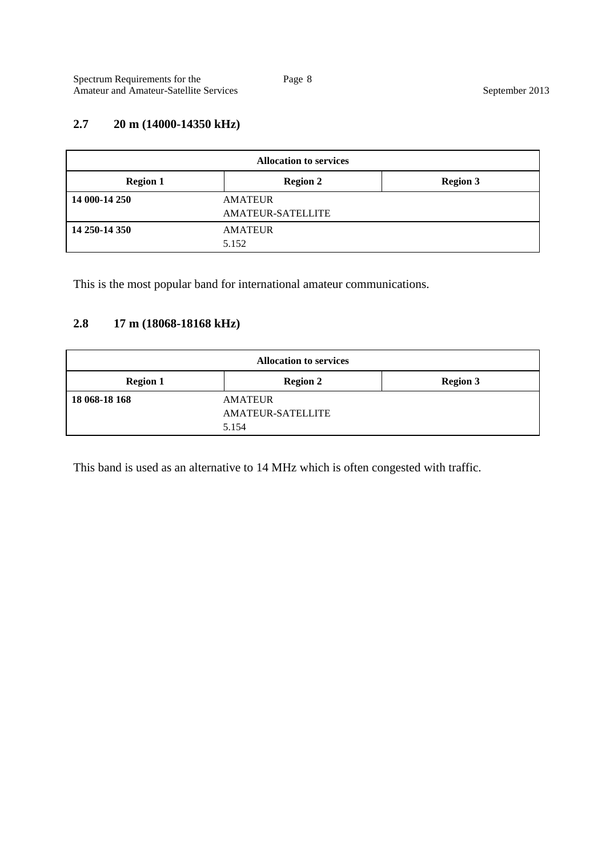## **2.7 20 m (14000-14350 kHz)**

| <b>Allocation to services</b> |                          |                 |
|-------------------------------|--------------------------|-----------------|
| <b>Region 1</b>               | <b>Region 2</b>          | <b>Region 3</b> |
| 14 000-14 250                 | <b>AMATEUR</b>           |                 |
|                               | <b>AMATEUR-SATELLITE</b> |                 |
| 14 250-14 350                 | AMATEUR                  |                 |
|                               | 5.152                    |                 |

This is the most popular band for international amateur communications.

## **2.8 17 m (18068-18168 kHz)**

| <b>Allocation to services</b> |                          |                 |
|-------------------------------|--------------------------|-----------------|
| <b>Region 1</b>               | <b>Region 2</b>          | <b>Region 3</b> |
| 18 068-18 168                 | <b>AMATEUR</b>           |                 |
|                               | <b>AMATEUR-SATELLITE</b> |                 |
|                               | 5.154                    |                 |

This band is used as an alternative to 14 MHz which is often congested with traffic.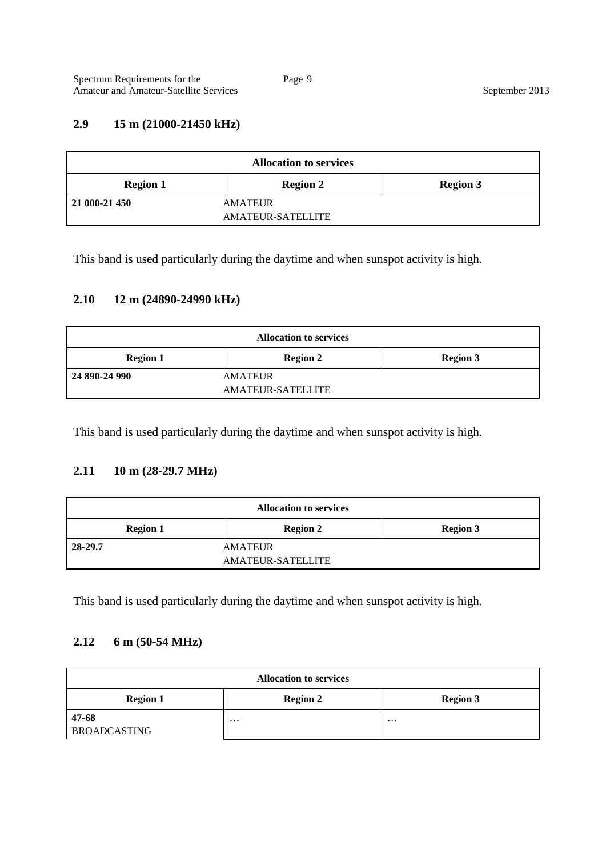#### **2.9 15 m (21000-21450 kHz)**

| <b>Allocation to services</b> |                                     |                 |
|-------------------------------|-------------------------------------|-----------------|
| <b>Region 1</b>               | <b>Region 2</b>                     | <b>Region 3</b> |
| 21 000-21 450                 | <b>AMATEUR</b><br>AMATEUR-SATELLITE |                 |

This band is used particularly during the daytime and when sunspot activity is high.

### **2.10 12 m (24890-24990 kHz)**

| <b>Allocation to services</b>                         |                |  |
|-------------------------------------------------------|----------------|--|
| <b>Region 3</b><br><b>Region 2</b><br><b>Region 1</b> |                |  |
| 24 890-24 990                                         | <b>AMATEUR</b> |  |
| <b>AMATEUR-SATELLITE</b>                              |                |  |

This band is used particularly during the daytime and when sunspot activity is high.

#### **2.11 10 m (28-29.7 MHz)**

| <b>Allocation to services</b>                         |                |  |  |
|-------------------------------------------------------|----------------|--|--|
| <b>Region 3</b><br><b>Region 1</b><br><b>Region 2</b> |                |  |  |
| 28-29.7                                               | <b>AMATEUR</b> |  |  |
| <b>AMATEUR-SATELLITE</b>                              |                |  |  |

This band is used particularly during the daytime and when sunspot activity is high.

#### **2.12 6 m (50-54 MHz)**

| <b>Allocation to services</b>                         |          |          |
|-------------------------------------------------------|----------|----------|
| <b>Region 2</b><br><b>Region 1</b><br><b>Region 3</b> |          |          |
| 47-68<br><b>BROADCASTING</b>                          | $\cdots$ | $\cdots$ |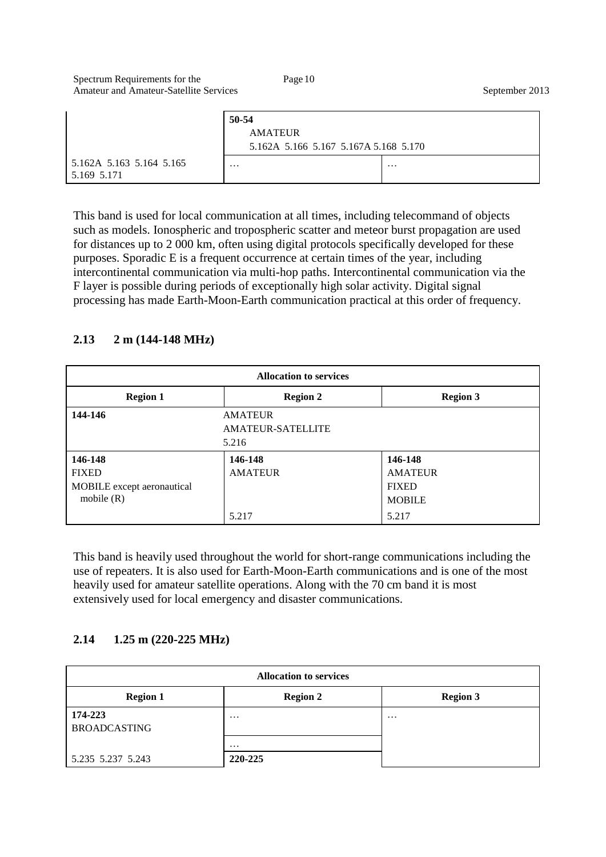|                                         | 50-54<br><b>AMATEUR</b><br>5.162A 5.166 5.167 5.167A 5.168 5.170 |          |
|-----------------------------------------|------------------------------------------------------------------|----------|
| 5.162A 5.163 5.164 5.165<br>5.169 5.171 | $\cdots$                                                         | $\cdots$ |

This band is used for local communication at all times, including telecommand of objects such as models. Ionospheric and tropospheric scatter and meteor burst propagation are used for distances up to 2 000 km, often using digital protocols specifically developed for these purposes. Sporadic E is a frequent occurrence at certain times of the year, including intercontinental communication via multi-hop paths. Intercontinental communication via the F layer is possible during periods of exceptionally high solar activity. Digital signal processing has made Earth-Moon-Earth communication practical at this order of frequency.

## **2.13 2 m (144-148 MHz)**

| <b>Allocation to services</b>                                         |                                    |                                                                     |
|-----------------------------------------------------------------------|------------------------------------|---------------------------------------------------------------------|
| <b>Region 1</b>                                                       | <b>Region 2</b>                    | <b>Region 3</b>                                                     |
| 144-146<br><b>AMATEUR</b><br><b>AMATEUR-SATELLITE</b><br>5.216        |                                    |                                                                     |
| 146-148<br><b>FIXED</b><br>MOBILE except aeronautical<br>mobile $(R)$ | 146-148<br><b>AMATEUR</b><br>5.217 | 146-148<br><b>AMATEUR</b><br><b>FIXED</b><br><b>MOBILE</b><br>5.217 |

This band is heavily used throughout the world for short-range communications including the use of repeaters. It is also used for Earth-Moon-Earth communications and is one of the most heavily used for amateur satellite operations. Along with the 70 cm band it is most extensively used for local emergency and disaster communications.

#### **2.14 1.25 m (220-225 MHz)**

| <b>Allocation to services</b>  |                   |                 |
|--------------------------------|-------------------|-----------------|
| <b>Region 1</b>                | <b>Region 2</b>   | <b>Region 3</b> |
| 174-223<br><b>BROADCASTING</b> | $\cdot\cdot\cdot$ | $\cdots$        |
|                                | $\cdot\cdot\cdot$ |                 |
| 5.235 5.237 5.243              | 220-225           |                 |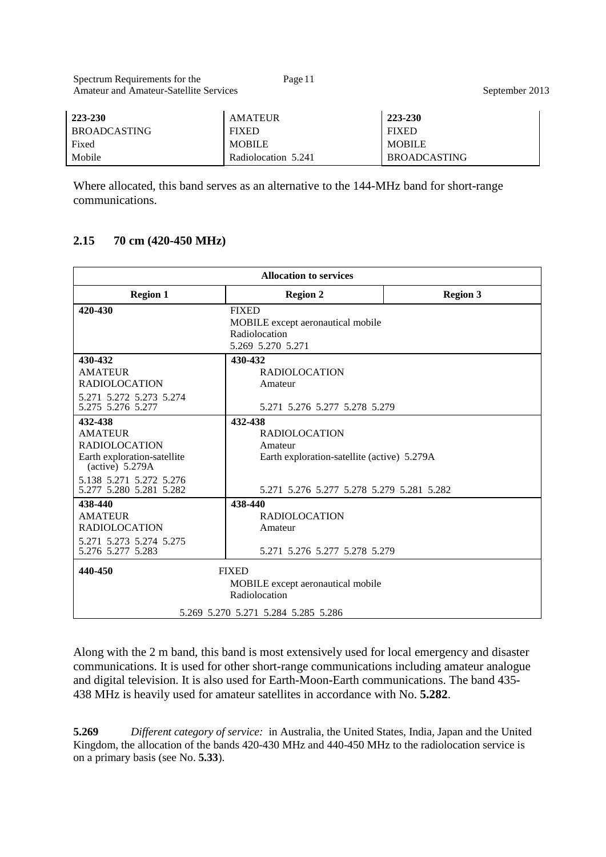| 223-230             | <b>AILAILUN</b>     | 22J-2JU             |
|---------------------|---------------------|---------------------|
| <b>BROADCASTING</b> | <b>FIXED</b>        | <b>FIXED</b>        |
| Fixed               | <b>MOBILE</b>       | <b>MOBILE</b>       |
| Mobile              | Radiolocation 5.241 | <b>BROADCASTING</b> |

Where allocated, this band serves as an alternative to the 144-MHz band for short-range communications.

#### **2.15 70 cm (420-450 MHz)**

| <b>Allocation to services</b>                                                                                                                               |                                                                                                                                        |                 |
|-------------------------------------------------------------------------------------------------------------------------------------------------------------|----------------------------------------------------------------------------------------------------------------------------------------|-----------------|
| <b>Region 1</b>                                                                                                                                             | <b>Region 2</b>                                                                                                                        | <b>Region 3</b> |
| 420-430                                                                                                                                                     | <b>FIXED</b><br>MOBILE except aeronautical mobile<br>Radiolocation<br>5.269 5.270 5.271                                                |                 |
| 430-432<br><b>AMATEUR</b><br><b>RADIOLOCATION</b><br>5.271 5.272 5.273 5.274<br>5.275 5.276 5.277                                                           | 430-432<br><b>RADIOLOCATION</b><br>Amateur<br>5.271 5.276 5.277 5.278 5.279                                                            |                 |
| 432-438<br><b>AMATEUR</b><br><b>RADIOLOCATION</b><br>Earth exploration-satellite<br>$(active)$ 5.279A<br>5.138 5.271 5.272 5.276<br>5.277 5.280 5.281 5.282 | 432-438<br><b>RADIOLOCATION</b><br>Amateur<br>Earth exploration-satellite (active) 5.279A<br>5.271 5.276 5.277 5.278 5.279 5.281 5.282 |                 |
| 438-440<br><b>AMATEUR</b><br><b>RADIOLOCATION</b><br>5.271 5.273 5.274 5.275<br>5.276 5.277 5.283                                                           | 438-440<br><b>RADIOLOCATION</b><br>Amateur<br>5.271 5.276 5.277 5.278 5.279                                                            |                 |
| 440-450<br><b>FIXED</b><br>MOBILE except aeronautical mobile<br>Radiolocation<br>5.269 5.270 5.271 5.284 5.285 5.286                                        |                                                                                                                                        |                 |

Along with the 2 m band, this band is most extensively used for local emergency and disaster communications. It is used for other short-range communications including amateur analogue and digital television. It is also used for Earth-Moon-Earth communications. The band 435- 438 MHz is heavily used for amateur satellites in accordance with No. **5.282**.

**5.269** *Different category of service:* in Australia, the United States, India, Japan and the United Kingdom, the allocation of the bands 420-430 MHz and 440-450 MHz to the radiolocation service is on a primary basis (see No. **5.33**).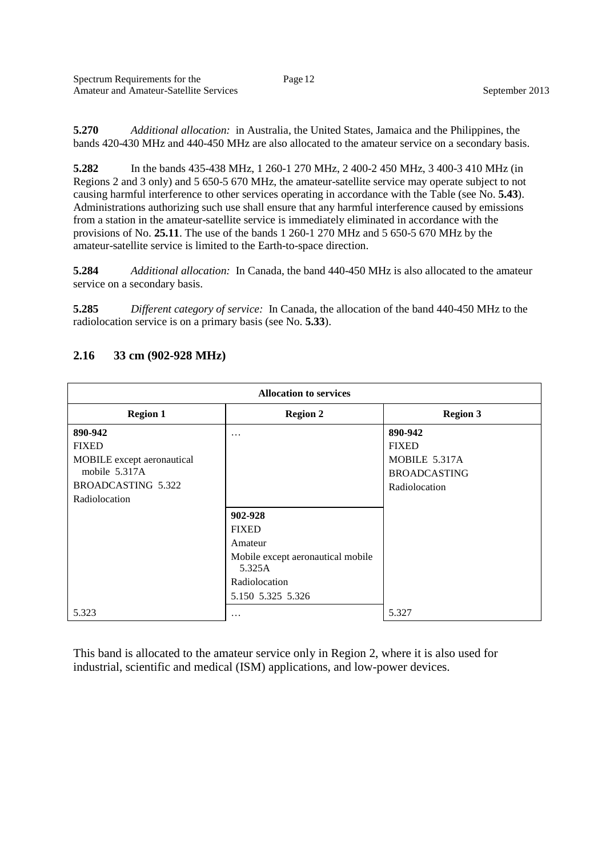**5.270** *Additional allocation:* in Australia, the United States, Jamaica and the Philippines, the bands 420-430 MHz and 440-450 MHz are also allocated to the amateur service on a secondary basis.

**5.282** In the bands 435-438 MHz, 1 260-1 270 MHz, 2 400-2 450 MHz, 3 400-3 410 MHz (in Regions 2 and 3 only) and 5 650-5 670 MHz, the amateur-satellite service may operate subject to not causing harmful interference to other services operating in accordance with the Table (see No. **5.43**). Administrations authorizing such use shall ensure that any harmful interference caused by emissions from a station in the amateur-satellite service is immediately eliminated in accordance with the provisions of No. **25.11**. The use of the bands 1 260-1 270 MHz and 5 650-5 670 MHz by the amateur-satellite service is limited to the Earth-to-space direction.

**5.284** *Additional allocation:* In Canada, the band 440-450 MHz is also allocated to the amateur service on a secondary basis.

**5.285** *Different category of service:* In Canada, the allocation of the band 440-450 MHz to the radiolocation service is on a primary basis (see No. **5.33**).

| <b>Allocation to services</b> |                                             |                     |
|-------------------------------|---------------------------------------------|---------------------|
| <b>Region 1</b>               | <b>Region 2</b>                             | <b>Region 3</b>     |
| 890-942                       | .                                           | 890-942             |
| <b>FIXED</b>                  |                                             | <b>FIXED</b>        |
| MOBILE except aeronautical    |                                             | MOBILE 5.317A       |
| mobile 5.317A                 |                                             | <b>BROADCASTING</b> |
| BROADCASTING 5.322            |                                             | Radiolocation       |
| Radiolocation                 |                                             |                     |
|                               | 902-928                                     |                     |
|                               | <b>FIXED</b>                                |                     |
|                               | Amateur                                     |                     |
|                               | Mobile except aeronautical mobile<br>5.325A |                     |
|                               | Radiolocation                               |                     |
|                               | 5.150 5.325 5.326                           |                     |
| 5.323                         | $\ddotsc$                                   | 5.327               |

#### **2.16 33 cm (902-928 MHz)**

This band is allocated to the amateur service only in Region 2, where it is also used for industrial, scientific and medical (ISM) applications, and low-power devices.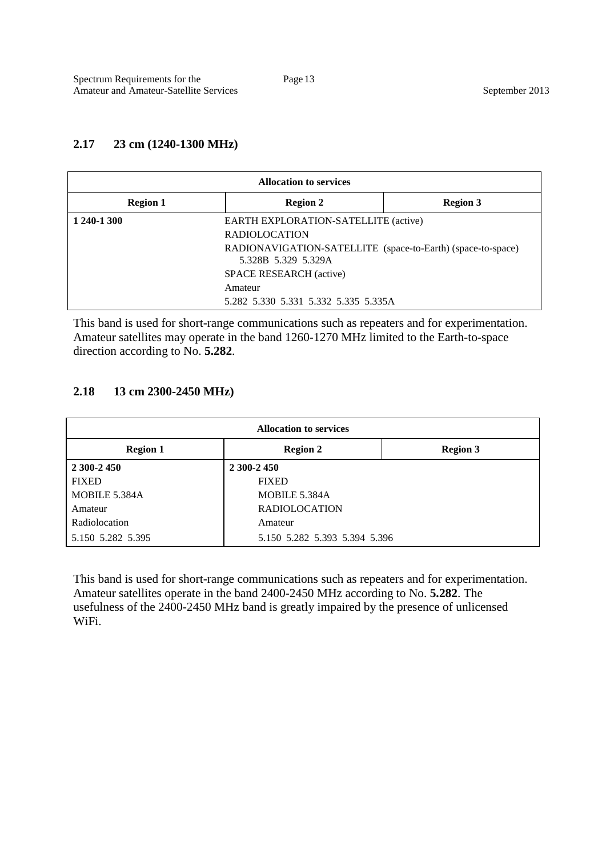#### **2.17 23 cm (1240-1300 MHz)**

| <b>Allocation to services</b> |                                                                                    |                 |
|-------------------------------|------------------------------------------------------------------------------------|-----------------|
| <b>Region 1</b>               | <b>Region 2</b>                                                                    | <b>Region 3</b> |
| 1 240-1 300                   | EARTH EXPLORATION-SATELLITE (active)                                               |                 |
|                               | <b>RADIOLOCATION</b>                                                               |                 |
|                               | RADIONAVIGATION-SATELLITE (space-to-Earth) (space-to-space)<br>5.328B 5.329 5.329A |                 |
|                               | SPACE RESEARCH (active)                                                            |                 |
|                               | Amateur                                                                            |                 |
|                               | 5.282 5.330 5.331 5.332 5.335 5.335A                                               |                 |

This band is used for short-range communications such as repeaters and for experimentation. Amateur satellites may operate in the band 1260-1270 MHz limited to the Earth-to-space direction according to No. **5.282**.

#### **2.18 13 cm 2300-2450 MHz)**

| <b>Allocation to services</b> |                               |                 |  |
|-------------------------------|-------------------------------|-----------------|--|
| <b>Region 1</b>               | <b>Region 2</b>               | <b>Region 3</b> |  |
| 2 300-2 450                   | 2 300-2 450                   |                 |  |
| <b>FIXED</b>                  | <b>FIXED</b>                  |                 |  |
| MOBILE 5.384A                 | MOBILE 5.384A                 |                 |  |
| Amateur                       | <b>RADIOLOCATION</b>          |                 |  |
| Radiolocation                 | Amateur                       |                 |  |
| 5.150 5.282 5.395             | 5.150 5.282 5.393 5.394 5.396 |                 |  |

This band is used for short-range communications such as repeaters and for experimentation. Amateur satellites operate in the band 2400-2450 MHz according to No. **5.282**. The usefulness of the 2400-2450 MHz band is greatly impaired by the presence of unlicensed WiFi.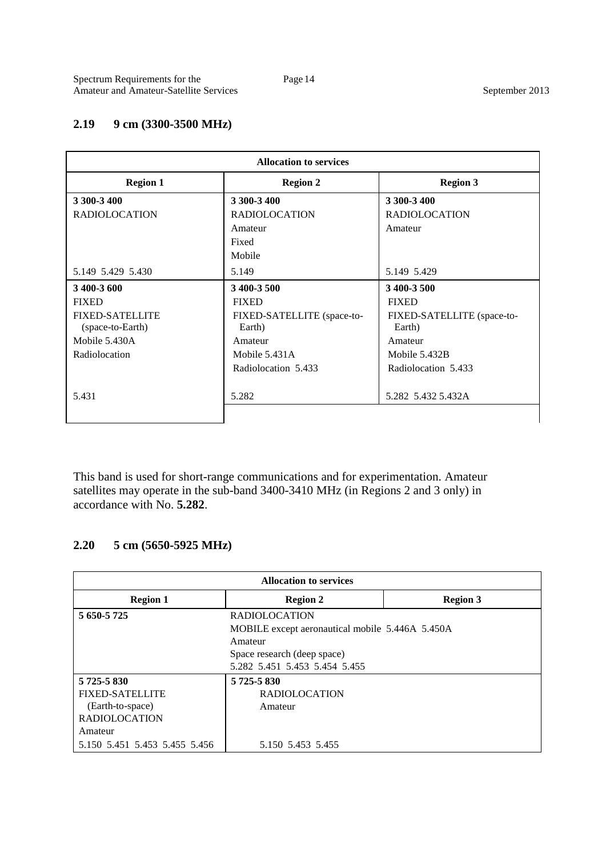### **2.19 9 cm (3300-3500 MHz)**

| <b>Allocation to services</b>              |                                      |                                      |
|--------------------------------------------|--------------------------------------|--------------------------------------|
| <b>Region 1</b>                            | <b>Region 2</b>                      | <b>Region 3</b>                      |
| 3 300-3 400                                | 3 300-3 400                          | 3 300-3 400                          |
| <b>RADIOLOCATION</b>                       | <b>RADIOLOCATION</b>                 | <b>RADIOLOCATION</b>                 |
|                                            | Amateur                              | Amateur                              |
|                                            | Fixed                                |                                      |
|                                            | Mobile                               |                                      |
| 5.149 5.429 5.430                          | 5.149                                | 5.149 5.429                          |
| 3 400-3 600                                | 3 400-3 500                          | 3 400-3 500                          |
| <b>FIXED</b>                               | <b>FIXED</b>                         | <b>FIXED</b>                         |
| <b>FIXED-SATELLITE</b><br>(space-to-Earth) | FIXED-SATELLITE (space-to-<br>Earth) | FIXED-SATELLITE (space-to-<br>Earth) |
| Mobile 5.430A                              | Amateur                              | Amateur                              |
| Radiolocation                              | Mobile 5.431A                        | Mobile 5.432B                        |
|                                            | Radiolocation 5.433                  | Radiolocation 5.433                  |
| 5.431                                      | 5.282                                | 5.282 5.432 5.432 A                  |
|                                            |                                      |                                      |
|                                            |                                      |                                      |

This band is used for short-range communications and for experimentation. Amateur satellites may operate in the sub-band 3400-3410 MHz (in Regions 2 and 3 only) in accordance with No. **5.282**.

# **2.20 5 cm (5650-5925 MHz)**

| <b>Allocation to services</b> |                                                 |                 |
|-------------------------------|-------------------------------------------------|-----------------|
| <b>Region 1</b>               | <b>Region 2</b>                                 | <b>Region 3</b> |
| 5 650-5 725                   | <b>RADIOLOCATION</b>                            |                 |
|                               | MOBILE except aeronautical mobile 5.446A 5.450A |                 |
|                               | Amateur                                         |                 |
|                               | Space research (deep space)                     |                 |
|                               | 5.282 5.451 5.453 5.454 5.455                   |                 |
| 5 725-5 830                   | 5 725-5 830                                     |                 |
| <b>FIXED-SATELLITE</b>        | <b>RADIOLOCATION</b>                            |                 |
| (Earth-to-space)              | Amateur                                         |                 |
| <b>RADIOLOCATION</b>          |                                                 |                 |
| Amateur                       |                                                 |                 |
| 5.150 5.451 5.453 5.455 5.456 | 5.150 5.453 5.455                               |                 |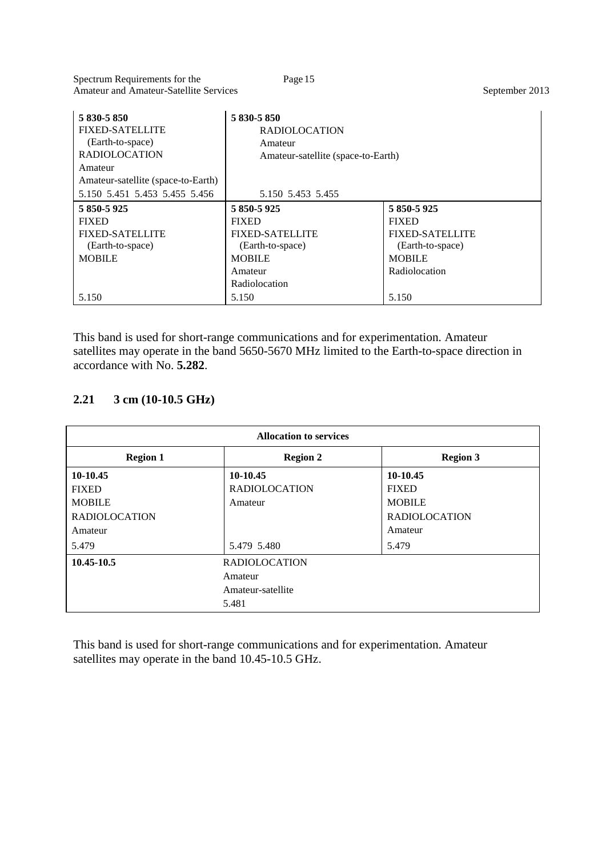Spectrum Requirements for the Page 15 Amateur and Amateur-Satellite Services September 2013

| 5 830-5 850<br><b>FIXED-SATELLITE</b><br>(Earth-to-space)<br><b>RADIOLOCATION</b><br>Amateur | 5 830-5 850<br><b>RADIOLOCATION</b><br>Amateur<br>Amateur-satellite (space-to-Earth) |                        |
|----------------------------------------------------------------------------------------------|--------------------------------------------------------------------------------------|------------------------|
| Amateur-satellite (space-to-Earth)<br>5.150 5.451 5.453 5.455 5.456                          | 5.150 5.453 5.455                                                                    |                        |
| 5 850-5 925                                                                                  | 5 850-5 925                                                                          | 5 850-5 925            |
| <b>FIXED</b>                                                                                 | <b>FIXED</b>                                                                         | <b>FIXED</b>           |
| <b>FIXED-SATELLITE</b>                                                                       | <b>FIXED-SATELLITE</b>                                                               | <b>FIXED-SATELLITE</b> |
| (Earth-to-space)                                                                             | (Earth-to-space)                                                                     | (Earth-to-space)       |
| <b>MOBILE</b>                                                                                | <b>MOBILE</b>                                                                        | <b>MOBILE</b>          |
|                                                                                              | Amateur                                                                              | Radiolocation          |
|                                                                                              | Radiolocation                                                                        |                        |
| 5.150                                                                                        | 5.150                                                                                | 5.150                  |

This band is used for short-range communications and for experimentation. Amateur satellites may operate in the band 5650-5670 MHz limited to the Earth-to-space direction in accordance with No. **5.282**.

## **2.21 3 cm (10-10.5 GHz)**

| <b>Allocation to services</b>      |                      |                      |
|------------------------------------|----------------------|----------------------|
| <b>Region 1</b>                    | <b>Region 2</b>      | <b>Region 3</b>      |
| 10-10.45                           | 10-10.45             | 10-10.45             |
| <b>FIXED</b>                       | <b>RADIOLOCATION</b> | <b>FIXED</b>         |
| <b>MOBILE</b>                      | Amateur              | <b>MOBILE</b>        |
| <b>RADIOLOCATION</b>               |                      | <b>RADIOLOCATION</b> |
| Amateur                            |                      | Amateur              |
| 5.479                              | 5.479 5.480          | 5.479                |
| 10.45-10.5<br><b>RADIOLOCATION</b> |                      |                      |
|                                    | Amateur              |                      |
|                                    | Amateur-satellite    |                      |
|                                    | 5.481                |                      |

This band is used for short-range communications and for experimentation. Amateur satellites may operate in the band 10.45-10.5 GHz.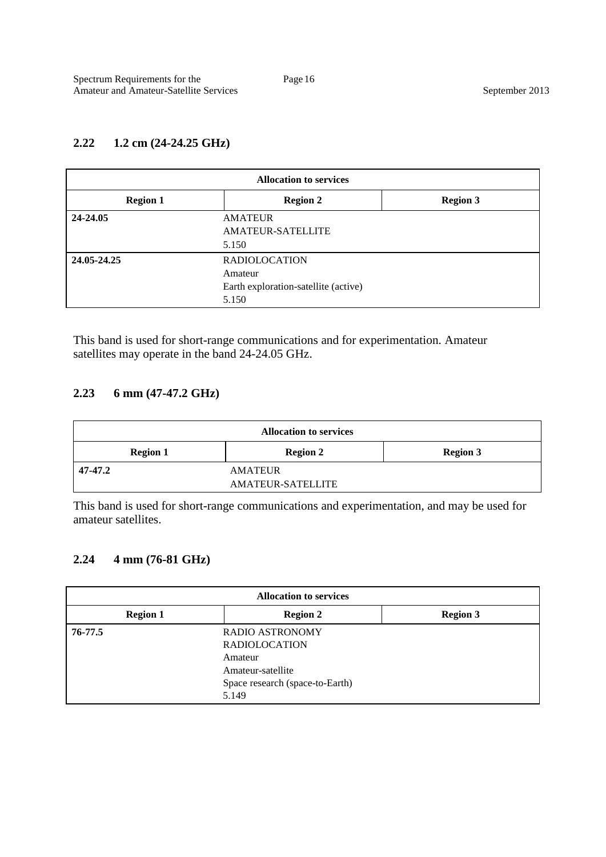# **2.22 1.2 cm (24-24.25 GHz)**

| <b>Allocation to services</b> |                                      |                 |
|-------------------------------|--------------------------------------|-----------------|
| <b>Region 1</b>               | <b>Region 2</b>                      | <b>Region 3</b> |
| 24-24.05                      | <b>AMATEUR</b>                       |                 |
|                               | AMATEUR-SATELLITE                    |                 |
|                               | 5.150                                |                 |
| 24.05-24.25                   | <b>RADIOLOCATION</b>                 |                 |
|                               | Amateur                              |                 |
|                               | Earth exploration-satellite (active) |                 |
|                               | 5.150                                |                 |

This band is used for short-range communications and for experimentation. Amateur satellites may operate in the band 24-24.05 GHz.

#### **2.23 6 mm (47-47.2 GHz)**

| <b>Allocation to services</b> |                          |                 |
|-------------------------------|--------------------------|-----------------|
| <b>Region 1</b>               | <b>Region 2</b>          | <b>Region 3</b> |
| 47-47.2                       | <b>AMATEUR</b>           |                 |
|                               | <b>AMATEUR-SATELLITE</b> |                 |

This band is used for short-range communications and experimentation, and may be used for amateur satellites.

### **2.24 4 mm (76-81 GHz)**

| <b>Allocation to services</b> |                                                                                                                            |                 |
|-------------------------------|----------------------------------------------------------------------------------------------------------------------------|-----------------|
| <b>Region 1</b>               | <b>Region 2</b>                                                                                                            | <b>Region 3</b> |
| 76-77.5                       | <b>RADIO ASTRONOMY</b><br><b>RADIOLOCATION</b><br>Amateur<br>Amateur-satellite<br>Space research (space-to-Earth)<br>5.149 |                 |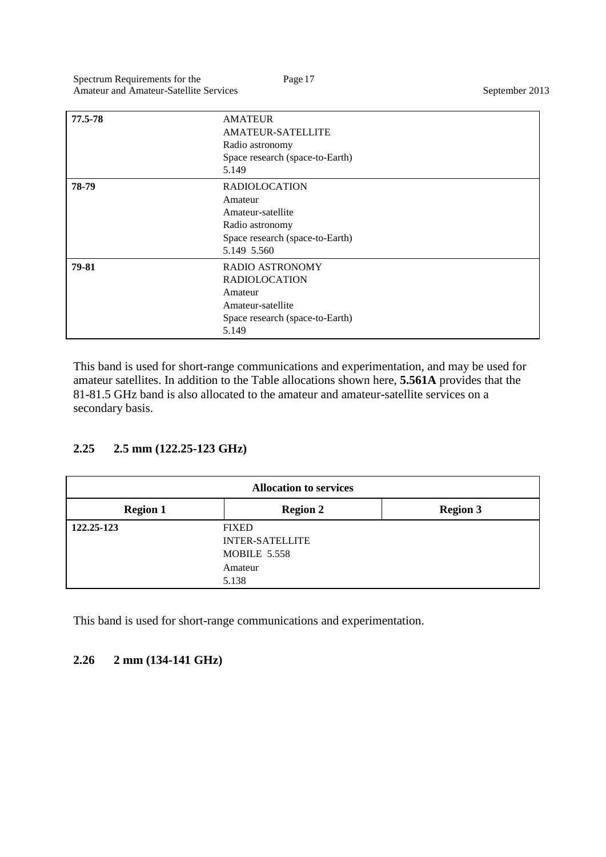| 77.5-78 | <b>AMATEUR</b><br><b>AMATEUR-SATELLITE</b><br>Radio astronomy<br>Space research (space-to-Earth)<br>5.149                  |
|---------|----------------------------------------------------------------------------------------------------------------------------|
| 78-79   | <b>RADIOLOCATION</b><br>Amateur<br>Amateur-satellite<br>Radio astronomy<br>Space research (space-to-Earth)<br>5.149 5.560  |
| 79-81   | <b>RADIO ASTRONOMY</b><br><b>RADIOLOCATION</b><br>Amateur<br>Amateur-satellite<br>Space research (space-to-Earth)<br>5.149 |

This band is used for short-range communications and experimentation, and may be used for amateur satellites. In addition to the Table allocations shown here, **5.561A** provides that the 81-81.5 GHz band is also allocated to the amateur and amateur-satellite services on a secondary basis.

# **2.25 2.5 mm (122.25-123 GHz)**

| <b>Allocation to services</b> |                                                                                   |                 |
|-------------------------------|-----------------------------------------------------------------------------------|-----------------|
| <b>Region 1</b>               | <b>Region 2</b>                                                                   | <b>Region 3</b> |
| 122.25-123                    | <b>FIXED</b><br><b>INTER-SATELLITE</b><br><b>MOBILE 5.558</b><br>Amateur<br>5.138 |                 |

This band is used for short-range communications and experimentation.

### **2.26 2 mm (134-141 GHz)**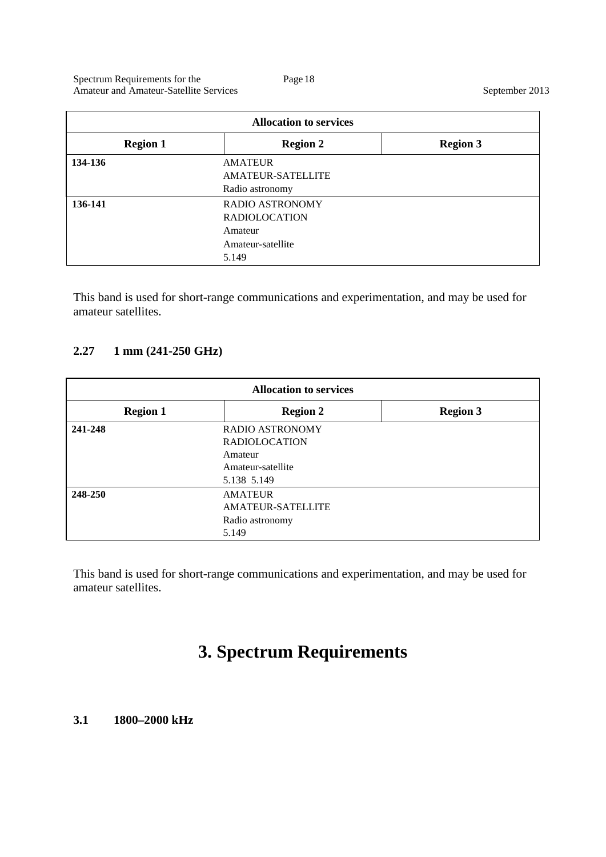| <b>Allocation to services</b> |                          |                 |
|-------------------------------|--------------------------|-----------------|
| <b>Region 1</b>               | <b>Region 2</b>          | <b>Region 3</b> |
| 134-136                       | <b>AMATEUR</b>           |                 |
|                               | <b>AMATEUR-SATELLITE</b> |                 |
|                               | Radio astronomy          |                 |
| 136-141                       | RADIO ASTRONOMY          |                 |
|                               | <b>RADIOLOCATION</b>     |                 |
|                               | Amateur                  |                 |
|                               | Amateur-satellite        |                 |
|                               | 5.149                    |                 |

This band is used for short-range communications and experimentation, and may be used for amateur satellites.

#### **2.27 1 mm (241-250 GHz)**

| <b>Allocation to services</b> |                                                                                               |                 |
|-------------------------------|-----------------------------------------------------------------------------------------------|-----------------|
| <b>Region 1</b>               | <b>Region 2</b>                                                                               | <b>Region 3</b> |
| 241-248                       | <b>RADIO ASTRONOMY</b><br><b>RADIOLOCATION</b><br>Amateur<br>Amateur-satellite<br>5.138 5.149 |                 |
| 248-250                       | <b>AMATEUR</b><br><b>AMATEUR-SATELLITE</b><br>Radio astronomy<br>5.149                        |                 |

This band is used for short-range communications and experimentation, and may be used for amateur satellites.

# **3. Spectrum Requirements**

#### **3.1 1800–2000 kHz**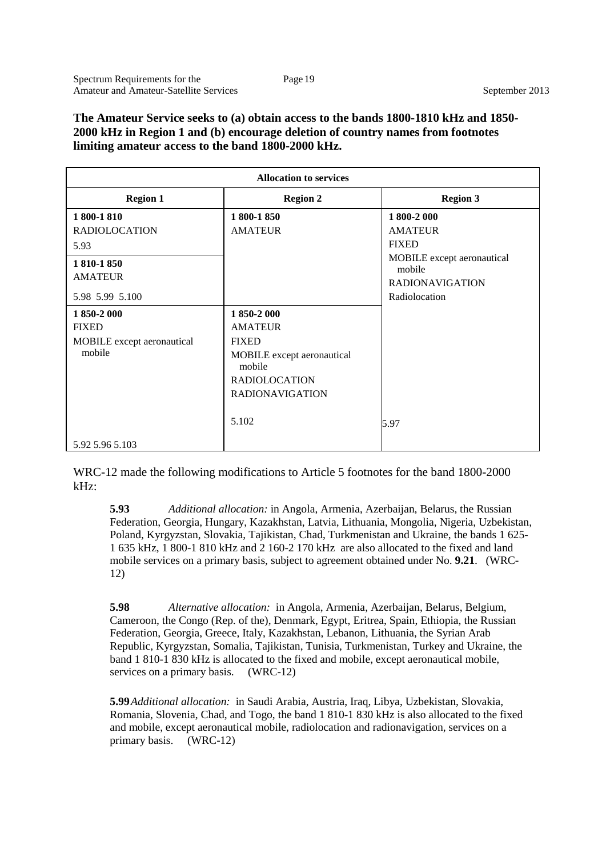#### **The Amateur Service seeks to (a) obtain access to the bands 1800-1810 kHz and 1850- 2000 kHz in Region 1 and (b) encourage deletion of country names from footnotes limiting amateur access to the band 1800-2000 kHz.**

| <b>Allocation to services</b> |                            |                                      |
|-------------------------------|----------------------------|--------------------------------------|
| <b>Region 1</b>               | <b>Region 2</b>            | <b>Region 3</b>                      |
| 1 800-1 810                   | 1 800-1 850                | 1 800-2 000                          |
| <b>RADIOLOCATION</b>          | <b>AMATEUR</b>             | <b>AMATEUR</b>                       |
| 5.93                          |                            | <b>FIXED</b>                         |
| 1810-1850                     |                            | MOBILE except aeronautical<br>mobile |
| <b>AMATEUR</b>                |                            | <b>RADIONAVIGATION</b>               |
| 5.98 5.99 5.100               |                            | Radiolocation                        |
| 1 850-2 000                   | 1850-2000                  |                                      |
| <b>FIXED</b>                  | <b>AMATEUR</b>             |                                      |
| MOBILE except aeronautical    | <b>FIXED</b>               |                                      |
| mobile                        | MOBILE except aeronautical |                                      |
|                               | mobile                     |                                      |
|                               | <b>RADIOLOCATION</b>       |                                      |
|                               | <b>RADIONAVIGATION</b>     |                                      |
|                               | 5.102                      | 5.97                                 |
| 5.92 5.96 5.103               |                            |                                      |

WRC-12 made the following modifications to Article 5 footnotes for the band 1800-2000 kHz:

**5.93** *Additional allocation:* in Angola, Armenia, Azerbaijan, Belarus, the Russian Federation, Georgia, Hungary, Kazakhstan, Latvia, Lithuania, Mongolia, Nigeria, Uzbekistan, Poland, Kyrgyzstan, Slovakia, Tajikistan, Chad, Turkmenistan and Ukraine, the bands 1 625- 1 635 kHz, 1 800-1 810 kHz and 2 160-2 170 kHz are also allocated to the fixed and land mobile services on a primary basis, subject to agreement obtained under No. **9.21**. (WRC-12)

**5.98** *Alternative allocation:* in Angola, Armenia, Azerbaijan, Belarus, Belgium, Cameroon, the Congo (Rep. of the), Denmark, Egypt, Eritrea, Spain, Ethiopia, the Russian Federation, Georgia, Greece, Italy, Kazakhstan, Lebanon, Lithuania, the Syrian Arab Republic, Kyrgyzstan, Somalia, Tajikistan, Tunisia, Turkmenistan, Turkey and Ukraine, the band 1 810-1 830 kHz is allocated to the fixed and mobile, except aeronautical mobile, services on a primary basis. (WRC-12)

**5.99***Additional allocation:* in Saudi Arabia, Austria, Iraq, Libya, Uzbekistan, Slovakia, Romania, Slovenia, Chad, and Togo, the band 1 810-1 830 kHz is also allocated to the fixed and mobile, except aeronautical mobile, radiolocation and radionavigation, services on a primary basis. (WRC-12)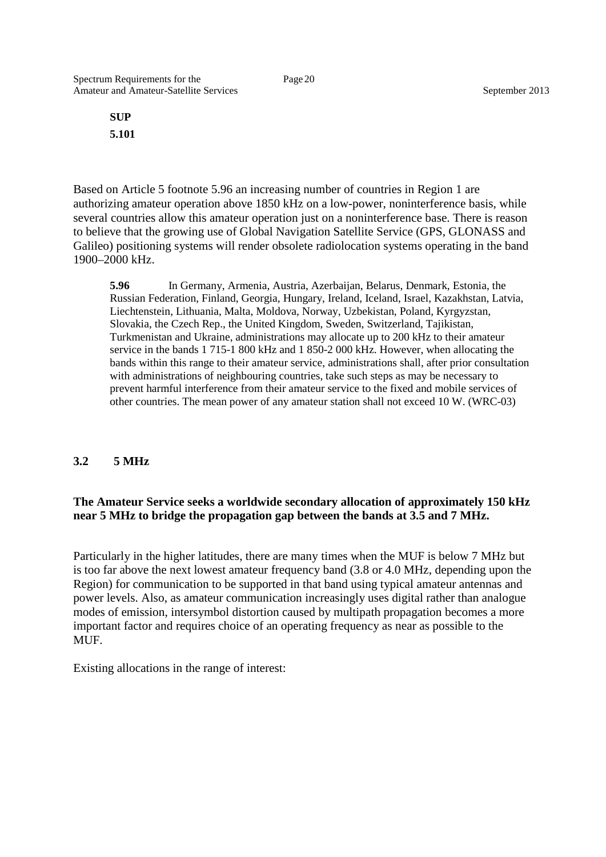**SUP 5.101**

Based on Article 5 footnote 5.96 an increasing number of countries in Region 1 are authorizing amateur operation above 1850 kHz on a low-power, noninterference basis, while several countries allow this amateur operation just on a noninterference base. There is reason to believe that the growing use of Global Navigation Satellite Service (GPS, GLONASS and Galileo) positioning systems will render obsolete radiolocation systems operating in the band 1900–2000 kHz.

**5.96** In Germany, Armenia, Austria, Azerbaijan, Belarus, Denmark, Estonia, the Russian Federation, Finland, Georgia, Hungary, Ireland, Iceland, Israel, Kazakhstan, Latvia, Liechtenstein, Lithuania, Malta, Moldova, Norway, Uzbekistan, Poland, Kyrgyzstan, Slovakia, the Czech Rep., the United Kingdom, Sweden, Switzerland, Tajikistan, Turkmenistan and Ukraine, administrations may allocate up to 200 kHz to their amateur service in the bands 1 715-1 800 kHz and 1 850-2 000 kHz. However, when allocating the bands within this range to their amateur service, administrations shall, after prior consultation with administrations of neighbouring countries, take such steps as may be necessary to prevent harmful interference from their amateur service to the fixed and mobile services of other countries. The mean power of any amateur station shall not exceed 10 W. (WRC-03)

#### **3.2 5 MHz**

#### **The Amateur Service seeks a worldwide secondary allocation of approximately 150 kHz near 5 MHz to bridge the propagation gap between the bands at 3.5 and 7 MHz.**

Particularly in the higher latitudes, there are many times when the MUF is below 7 MHz but is too far above the next lowest amateur frequency band (3.8 or 4.0 MHz, depending upon the Region) for communication to be supported in that band using typical amateur antennas and power levels. Also, as amateur communication increasingly uses digital rather than analogue modes of emission, intersymbol distortion caused by multipath propagation becomes a more important factor and requires choice of an operating frequency as near as possible to the MUF.

Existing allocations in the range of interest: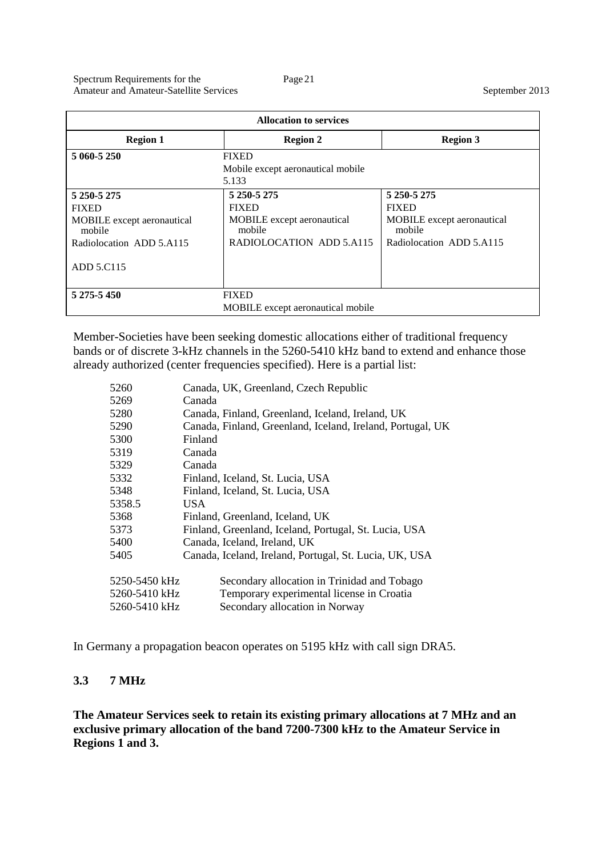| <b>Allocation to services</b>        |                                      |                                             |
|--------------------------------------|--------------------------------------|---------------------------------------------|
| <b>Region 1</b>                      | <b>Region 2</b>                      | <b>Region 3</b>                             |
| 5 060-5 250                          | <b>FIXED</b>                         |                                             |
|                                      | Mobile except aeronautical mobile    |                                             |
|                                      | 5.133                                |                                             |
| 5 250-5 275                          | 5 250-5 275                          | 5 250-5 275                                 |
| <b>FIXED</b>                         | <b>FIXED</b>                         | <b>FIXED</b>                                |
| MOBILE except aeronautical<br>mobile | MOBILE except aeronautical<br>mobile | <b>MOBILE</b> except aeronautical<br>mobile |
| Radiolocation ADD 5.A115             | RADIOLOCATION ADD 5.A115             | Radiolocation ADD 5.A115                    |
| ADD 5.C115                           |                                      |                                             |
| 5 275-5 450                          | <b>FIXED</b>                         |                                             |
| MOBILE except aeronautical mobile    |                                      |                                             |

Member-Societies have been seeking domestic allocations either of traditional frequency bands or of discrete 3-kHz channels in the 5260-5410 kHz band to extend and enhance those already authorized (center frequencies specified). Here is a partial list:

| 5260          | Canada, UK, Greenland, Czech Republic                      |
|---------------|------------------------------------------------------------|
| 5269          | Canada                                                     |
| 5280          | Canada, Finland, Greenland, Iceland, Ireland, UK           |
| 5290          | Canada, Finland, Greenland, Iceland, Ireland, Portugal, UK |
| 5300          | Finland                                                    |
| 5319          | Canada                                                     |
| 5329          | Canada                                                     |
| 5332          | Finland, Iceland, St. Lucia, USA                           |
| 5348          | Finland, Iceland, St. Lucia, USA                           |
| 5358.5        | USA.                                                       |
| 5368          | Finland, Greenland, Iceland, UK                            |
| 5373          | Finland, Greenland, Iceland, Portugal, St. Lucia, USA      |
| 5400          | Canada, Iceland, Ireland, UK                               |
| 5405          | Canada, Iceland, Ireland, Portugal, St. Lucia, UK, USA     |
|               |                                                            |
| 5250-5450 kHz | Secondary allocation in Trinidad and Tobago                |
| 5260-5410 kHz | Temporary experimental license in Croatia                  |
| 5260-5410 kHz | Secondary allocation in Norway                             |
|               |                                                            |

In Germany a propagation beacon operates on 5195 kHz with call sign DRA5.

# **3.3 7 MHz**

**The Amateur Services seek to retain its existing primary allocations at 7 MHz and an exclusive primary allocation of the band 7200-7300 kHz to the Amateur Service in Regions 1 and 3.**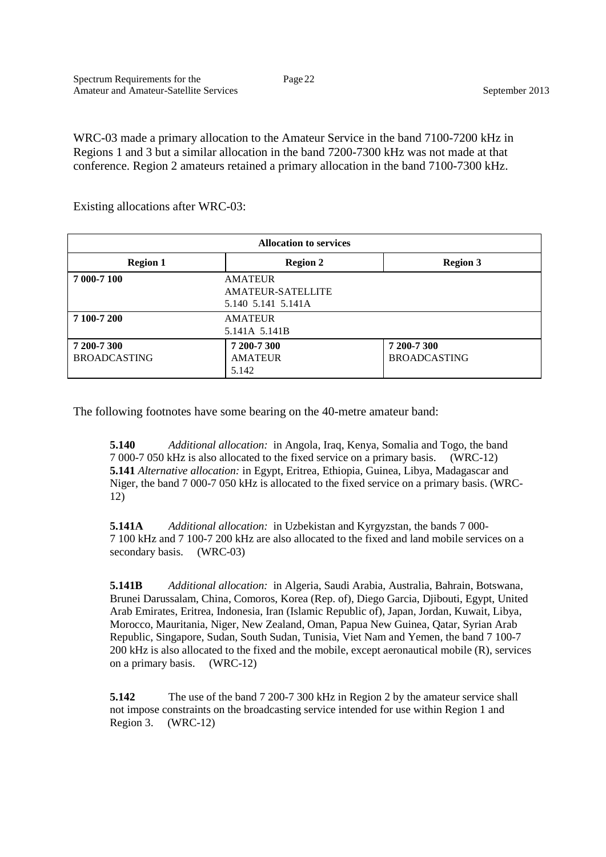WRC-03 made a primary allocation to the Amateur Service in the band 7100-7200 kHz in Regions 1 and 3 but a similar allocation in the band 7200-7300 kHz was not made at that conference. Region 2 amateurs retained a primary allocation in the band 7100-7300 kHz.

Existing allocations after WRC-03:

| <b>Allocation to services</b> |                          |                     |  |
|-------------------------------|--------------------------|---------------------|--|
| <b>Region 1</b>               | <b>Region 2</b>          | <b>Region 3</b>     |  |
| 7 000-7 100                   | <b>AMATEUR</b>           |                     |  |
|                               | <b>AMATEUR-SATELLITE</b> |                     |  |
|                               | 5.140 5.141 5.141A       |                     |  |
| 7 100-7 200                   | <b>AMATEUR</b>           |                     |  |
| 5.141A 5.141B                 |                          |                     |  |
| 7 200-7 300                   | 7 200-7 300              | 7 200-7 300         |  |
| <b>BROADCASTING</b>           | <b>AMATEUR</b>           | <b>BROADCASTING</b> |  |
|                               | 5.142                    |                     |  |

The following footnotes have some bearing on the 40-metre amateur band:

**5.140** *Additional allocation:* in Angola, Iraq, Kenya, Somalia and Togo, the band 7 000-7 050 kHz is also allocated to the fixed service on a primary basis. (WRC-12) **5.141** *Alternative allocation:* in Egypt, Eritrea, Ethiopia, Guinea, Libya, Madagascar and Niger, the band 7 000-7 050 kHz is allocated to the fixed service on a primary basis. (WRC-12)

**5.141A** *Additional allocation:* in Uzbekistan and Kyrgyzstan, the bands 7 000- 7 100 kHz and 7 100-7 200 kHz are also allocated to the fixed and land mobile services on a secondary basis. (WRC-03)

**5.141B** *Additional allocation:* in Algeria, Saudi Arabia, Australia, Bahrain, Botswana, Brunei Darussalam, China, Comoros, Korea (Rep. of), Diego Garcia, Djibouti, Egypt, United Arab Emirates, Eritrea, Indonesia, Iran (Islamic Republic of), Japan, Jordan, Kuwait, Libya, Morocco, Mauritania, Niger, New Zealand, Oman, Papua New Guinea, Qatar, Syrian Arab Republic, Singapore, Sudan, South Sudan, Tunisia, Viet Nam and Yemen, the band 7 100-7 200 kHz is also allocated to the fixed and the mobile, except aeronautical mobile (R), services on a primary basis. (WRC-12)

**5.142** The use of the band 7 200-7 300 kHz in Region 2 by the amateur service shall not impose constraints on the broadcasting service intended for use within Region 1 and Region 3. (WRC-12)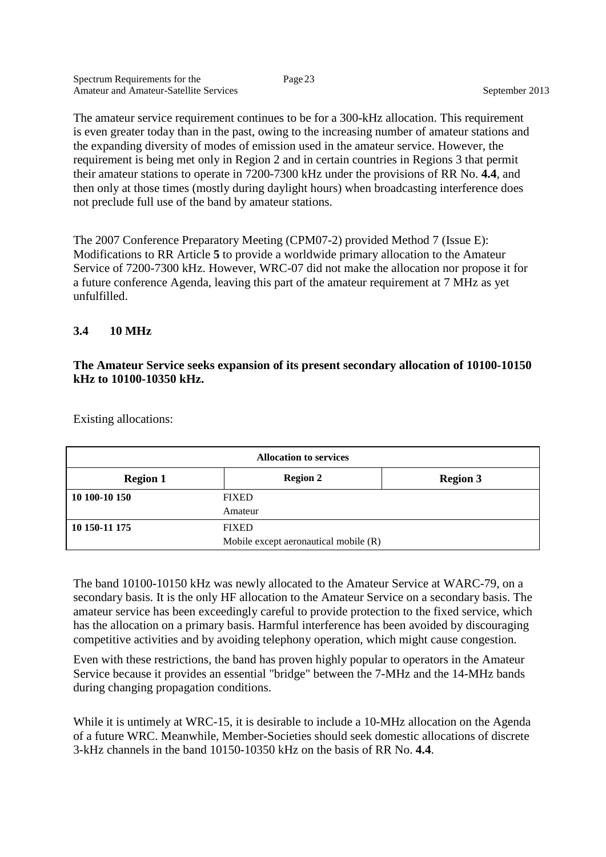The amateur service requirement continues to be for a 300-kHz allocation. This requirement is even greater today than in the past, owing to the increasing number of amateur stations and the expanding diversity of modes of emission used in the amateur service. However, the requirement is being met only in Region 2 and in certain countries in Regions 3 that permit their amateur stations to operate in 7200-7300 kHz under the provisions of RR No. **4.4**, and then only at those times (mostly during daylight hours) when broadcasting interference does not preclude full use of the band by amateur stations.

The 2007 Conference Preparatory Meeting (CPM07-2) provided Method 7 (Issue E): Modifications to RR Article **5** to provide a worldwide primary allocation to the Amateur Service of 7200-7300 kHz. However, WRC-07 did not make the allocation nor propose it for a future conference Agenda, leaving this part of the amateur requirement at 7 MHz as yet unfulfilled.

#### **3.4 10 MHz**

#### **The Amateur Service seeks expansion of its present secondary allocation of 10100-10150 kHz to 10100-10350 kHz.**

| <b>Allocation to services</b>         |                 |                 |
|---------------------------------------|-----------------|-----------------|
| <b>Region 1</b>                       | <b>Region 2</b> | <b>Region 3</b> |
| 10 100-10 150                         | <b>FIXED</b>    |                 |
|                                       | Amateur         |                 |
| 10 150-11 175                         | <b>FIXED</b>    |                 |
| Mobile except aeronautical mobile (R) |                 |                 |

Existing allocations:

The band 10100-10150 kHz was newly allocated to the Amateur Service at WARC-79, on a secondary basis. It is the only HF allocation to the Amateur Service on a secondary basis. The amateur service has been exceedingly careful to provide protection to the fixed service, which has the allocation on a primary basis. Harmful interference has been avoided by discouraging competitive activities and by avoiding telephony operation, which might cause congestion.

Even with these restrictions, the band has proven highly popular to operators in the Amateur Service because it provides an essential "bridge" between the 7-MHz and the 14-MHz bands during changing propagation conditions.

While it is untimely at WRC-15, it is desirable to include a 10-MHz allocation on the Agenda of a future WRC. Meanwhile, Member-Societies should seek domestic allocations of discrete 3-kHz channels in the band 10150-10350 kHz on the basis of RR No. **4.4**.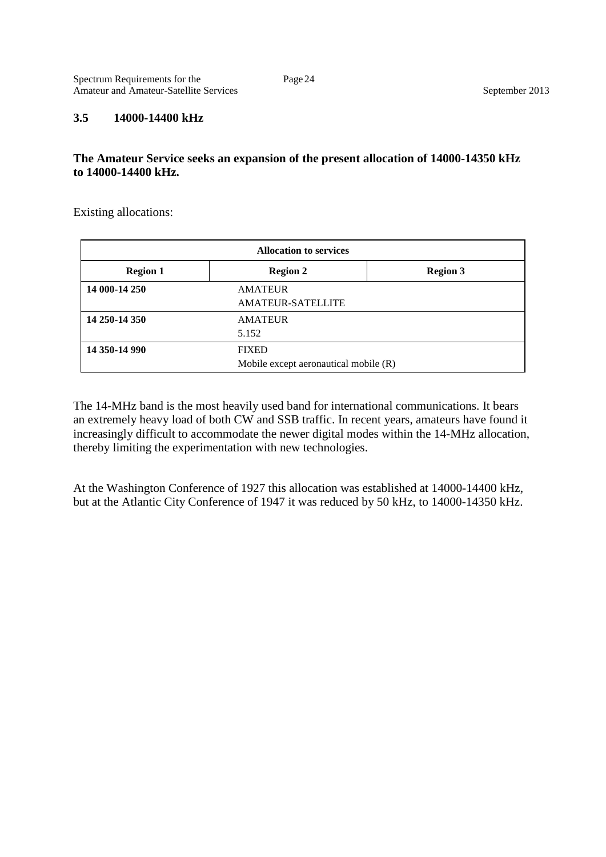#### **3.5 14000-14400 kHz**

#### **The Amateur Service seeks an expansion of the present allocation of 14000-14350 kHz to 14000-14400 kHz.**

Existing allocations:

| <b>Allocation to services</b> |                                                       |                 |
|-------------------------------|-------------------------------------------------------|-----------------|
| <b>Region 1</b>               | <b>Region 2</b>                                       | <b>Region 3</b> |
| 14 000-14 250                 | <b>AMATEUR</b><br>AMATEUR-SATELLITE                   |                 |
| 14 250-14 350                 | <b>AMATEUR</b><br>5.152                               |                 |
| 14 350-14 990                 | <b>FIXED</b><br>Mobile except aeronautical mobile (R) |                 |

The 14-MHz band is the most heavily used band for international communications. It bears an extremely heavy load of both CW and SSB traffic. In recent years, amateurs have found it increasingly difficult to accommodate the newer digital modes within the 14-MHz allocation, thereby limiting the experimentation with new technologies.

At the Washington Conference of 1927 this allocation was established at 14000-14400 kHz, but at the Atlantic City Conference of 1947 it was reduced by 50 kHz, to 14000-14350 kHz.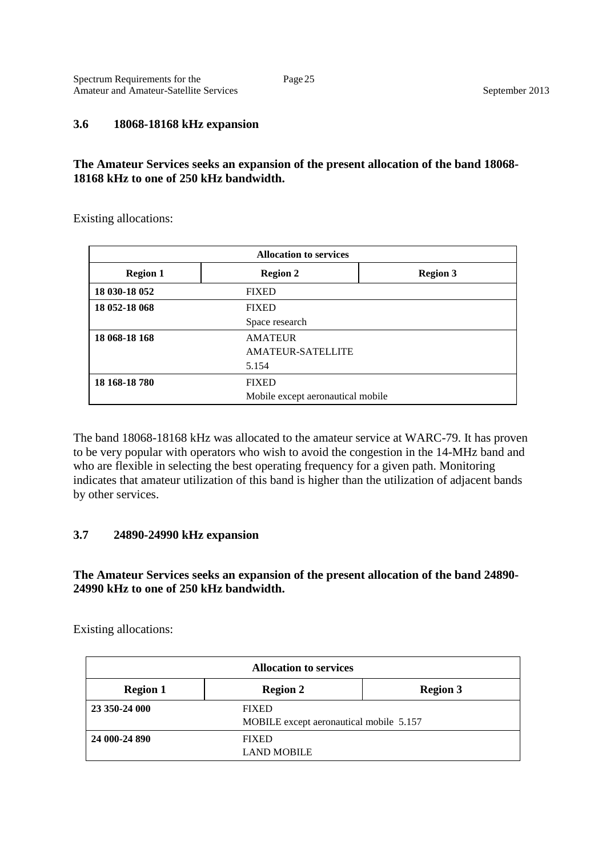#### **3.6 18068-18168 kHz expansion**

#### **The Amateur Services seeks an expansion of the present allocation of the band 18068- 18168 kHz to one of 250 kHz bandwidth.**

Existing allocations:

| <b>Allocation to services</b> |                                   |                 |  |
|-------------------------------|-----------------------------------|-----------------|--|
| <b>Region 1</b>               | <b>Region 2</b>                   | <b>Region 3</b> |  |
| 18 030-18 052                 | <b>FIXED</b>                      |                 |  |
| 18 052-18 068                 | <b>FIXED</b>                      |                 |  |
|                               | Space research                    |                 |  |
| 18 068-18 168                 | <b>AMATEUR</b>                    |                 |  |
|                               | <b>AMATEUR-SATELLITE</b>          |                 |  |
|                               | 5.154                             |                 |  |
| 18 168-18 780                 | <b>FIXED</b>                      |                 |  |
|                               | Mobile except aeronautical mobile |                 |  |

The band 18068-18168 kHz was allocated to the amateur service at WARC-79. It has proven to be very popular with operators who wish to avoid the congestion in the 14-MHz band and who are flexible in selecting the best operating frequency for a given path. Monitoring indicates that amateur utilization of this band is higher than the utilization of adjacent bands by other services.

#### **3.7 24890-24990 kHz expansion**

**The Amateur Services seeks an expansion of the present allocation of the band 24890- 24990 kHz to one of 250 kHz bandwidth.**

Existing allocations:

| <b>Allocation to services</b> |                                         |                 |
|-------------------------------|-----------------------------------------|-----------------|
| <b>Region 1</b>               | <b>Region 2</b>                         | <b>Region 3</b> |
| 23 350-24 000                 | <b>FIXED</b>                            |                 |
|                               | MOBILE except aeronautical mobile 5.157 |                 |
| 24 000-24 890                 | <b>FIXED</b>                            |                 |
|                               | <b>LAND MOBILE</b>                      |                 |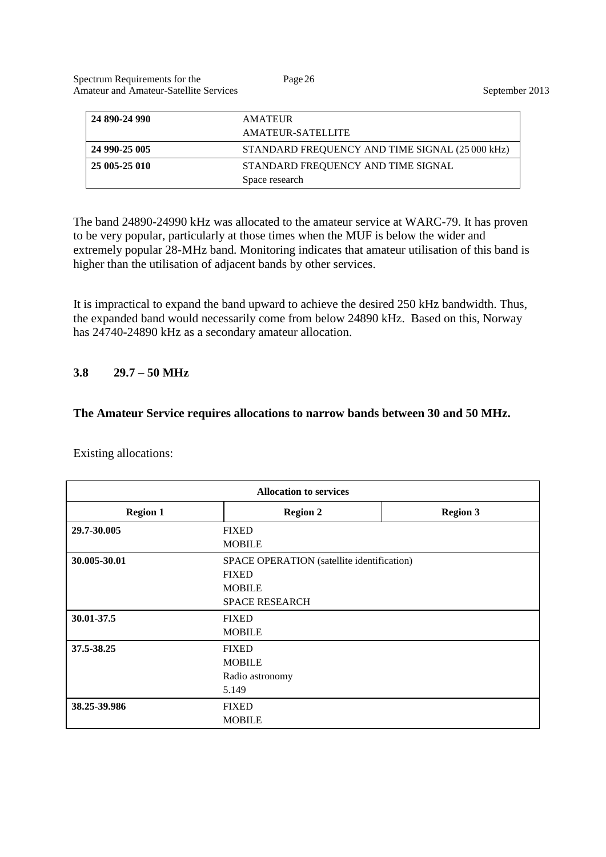| 24 890-24 990 | <b>AMATEUR</b><br>AMATEUR-SATELLITE                  |
|---------------|------------------------------------------------------|
| 24 990-25 005 | STANDARD FREQUENCY AND TIME SIGNAL (25 000 kHz)      |
| 25 005-25 010 | STANDARD FREQUENCY AND TIME SIGNAL<br>Space research |

The band 24890-24990 kHz was allocated to the amateur service at WARC-79. It has proven to be very popular, particularly at those times when the MUF is below the wider and extremely popular 28-MHz band. Monitoring indicates that amateur utilisation of this band is higher than the utilisation of adjacent bands by other services.

It is impractical to expand the band upward to achieve the desired 250 kHz bandwidth. Thus, the expanded band would necessarily come from below 24890 kHz. Based on this, Norway has 24740-24890 kHz as a secondary amateur allocation.

#### **3.8 29.7 – 50 MHz**

#### **The Amateur Service requires allocations to narrow bands between 30 and 50 MHz.**

Existing allocations:

| <b>Allocation to services</b> |                                            |                 |
|-------------------------------|--------------------------------------------|-----------------|
| <b>Region 1</b>               | <b>Region 2</b>                            | <b>Region 3</b> |
| 29.7-30.005                   | <b>FIXED</b>                               |                 |
|                               | <b>MOBILE</b>                              |                 |
| 30.005-30.01                  | SPACE OPERATION (satellite identification) |                 |
|                               | <b>FIXED</b>                               |                 |
|                               | <b>MOBILE</b>                              |                 |
|                               | <b>SPACE RESEARCH</b>                      |                 |
| 30.01-37.5                    | <b>FIXED</b>                               |                 |
|                               | <b>MOBILE</b>                              |                 |
| 37.5-38.25                    | <b>FIXED</b>                               |                 |
|                               | <b>MOBILE</b>                              |                 |
|                               | Radio astronomy                            |                 |
|                               | 5.149                                      |                 |
| 38.25-39.986                  | <b>FIXED</b>                               |                 |
|                               | <b>MOBILE</b>                              |                 |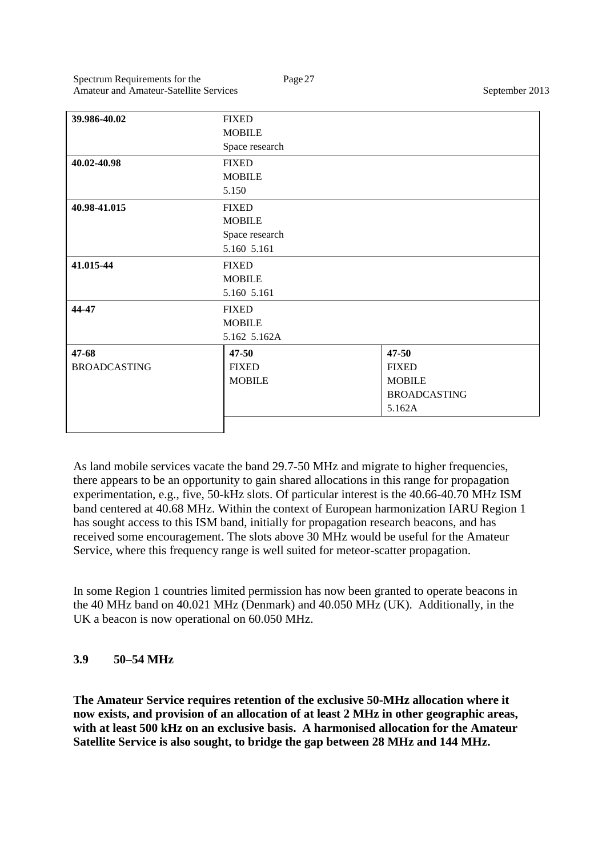| 39.986-40.02        | <b>FIXED</b>   |                     |
|---------------------|----------------|---------------------|
|                     | <b>MOBILE</b>  |                     |
|                     | Space research |                     |
| 40.02-40.98         | <b>FIXED</b>   |                     |
|                     | <b>MOBILE</b>  |                     |
|                     | 5.150          |                     |
| 40.98-41.015        | <b>FIXED</b>   |                     |
|                     | <b>MOBILE</b>  |                     |
|                     | Space research |                     |
|                     | 5.160 5.161    |                     |
| 41.015-44           | <b>FIXED</b>   |                     |
|                     | <b>MOBILE</b>  |                     |
|                     | 5.160 5.161    |                     |
| 44-47               | <b>FIXED</b>   |                     |
|                     | <b>MOBILE</b>  |                     |
|                     | 5.162 5.162A   |                     |
| 47-68               | $47 - 50$      | 47-50               |
| <b>BROADCASTING</b> | <b>FIXED</b>   | <b>FIXED</b>        |
|                     | <b>MOBILE</b>  | <b>MOBILE</b>       |
|                     |                | <b>BROADCASTING</b> |
|                     |                | 5.162A              |
|                     |                |                     |

As land mobile services vacate the band 29.7-50 MHz and migrate to higher frequencies, there appears to be an opportunity to gain shared allocations in this range for propagation experimentation, e.g., five, 50-kHz slots. Of particular interest is the 40.66-40.70 MHz ISM band centered at 40.68 MHz. Within the context of European harmonization IARU Region 1 has sought access to this ISM band, initially for propagation research beacons, and has received some encouragement. The slots above 30 MHz would be useful for the Amateur Service, where this frequency range is well suited for meteor-scatter propagation.

In some Region 1 countries limited permission has now been granted to operate beacons in the 40 MHz band on 40.021 MHz (Denmark) and 40.050 MHz (UK). Additionally, in the UK a beacon is now operational on 60.050 MHz.

# **3.9 50–54 MHz**

**The Amateur Service requires retention of the exclusive 50-MHz allocation where it now exists, and provision of an allocation of at least 2 MHz in other geographic areas, with at least 500 kHz on an exclusive basis. A harmonised allocation for the Amateur Satellite Service is also sought, to bridge the gap between 28 MHz and 144 MHz.**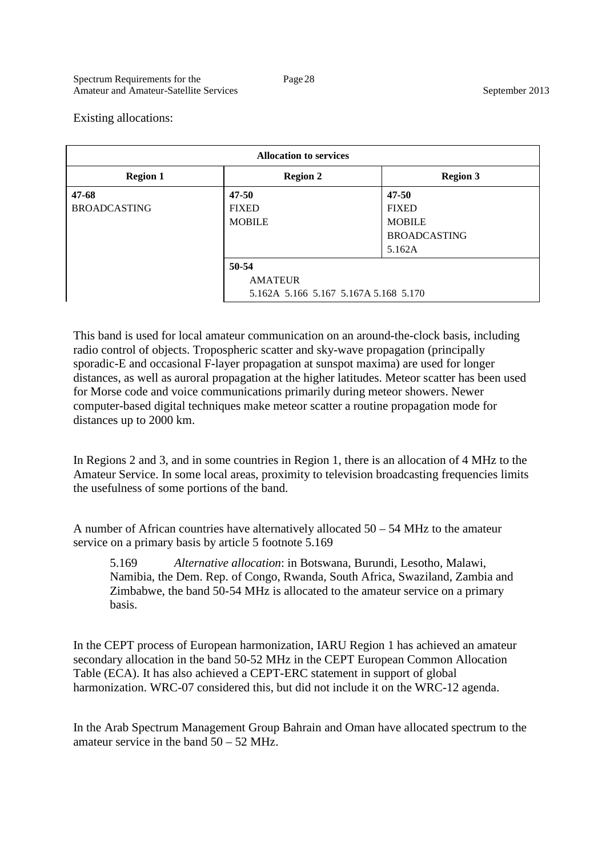Existing allocations:

| <b>Allocation to services</b> |                                       |                     |
|-------------------------------|---------------------------------------|---------------------|
| <b>Region 1</b>               | <b>Region 2</b>                       | <b>Region 3</b>     |
| $47 - 68$                     | $47 - 50$                             | $47 - 50$           |
| <b>BROADCASTING</b>           | <b>FIXED</b>                          | <b>FIXED</b>        |
|                               | <b>MOBILE</b>                         | <b>MOBILE</b>       |
|                               |                                       | <b>BROADCASTING</b> |
|                               |                                       | 5.162A              |
|                               | 50-54                                 |                     |
|                               | <b>AMATEUR</b>                        |                     |
|                               | 5.162A 5.166 5.167 5.167A 5.168 5.170 |                     |

This band is used for local amateur communication on an around-the-clock basis, including radio control of objects. Tropospheric scatter and sky-wave propagation (principally sporadic-E and occasional F-layer propagation at sunspot maxima) are used for longer distances, as well as auroral propagation at the higher latitudes. Meteor scatter has been used for Morse code and voice communications primarily during meteor showers. Newer computer-based digital techniques make meteor scatter a routine propagation mode for distances up to 2000 km.

In Regions 2 and 3, and in some countries in Region 1, there is an allocation of 4 MHz to the Amateur Service. In some local areas, proximity to television broadcasting frequencies limits the usefulness of some portions of the band.

A number of African countries have alternatively allocated 50 – 54 MHz to the amateur service on a primary basis by article 5 footnote 5.169

5.169 *Alternative allocation*: in Botswana, Burundi, Lesotho, Malawi, Namibia, the Dem. Rep. of Congo, Rwanda, South Africa, Swaziland, Zambia and Zimbabwe, the band 50-54 MHz is allocated to the amateur service on a primary basis.

In the CEPT process of European harmonization, IARU Region 1 has achieved an amateur secondary allocation in the band 50-52 MHz in the CEPT European Common Allocation Table (ECA). It has also achieved a CEPT-ERC statement in support of global harmonization. WRC-07 considered this, but did not include it on the WRC-12 agenda.

In the Arab Spectrum Management Group Bahrain and Oman have allocated spectrum to the amateur service in the band 50 – 52 MHz.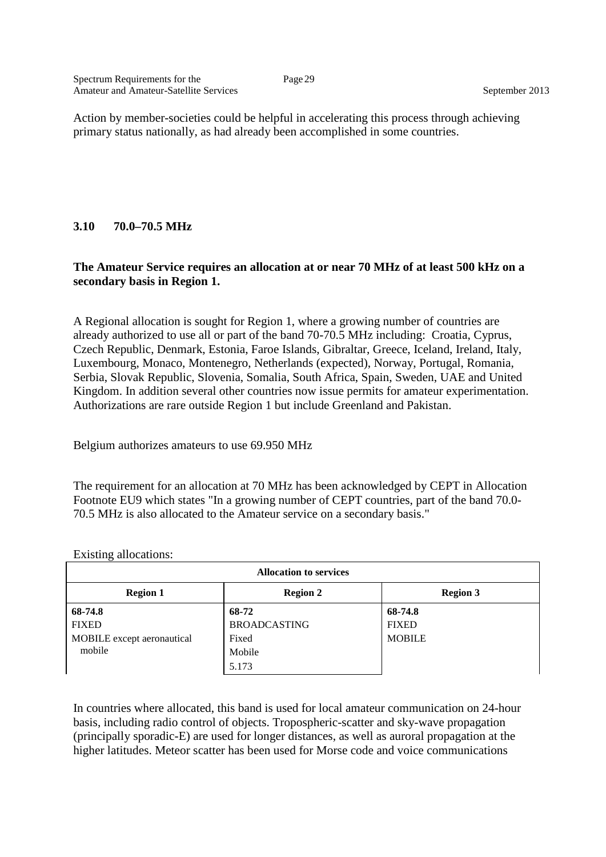Action by member-societies could be helpful in accelerating this process through achieving primary status nationally, as had already been accomplished in some countries.

#### **3.10 70.0–70.5 MHz**

#### **The Amateur Service requires an allocation at or near 70 MHz of at least 500 kHz on a secondary basis in Region 1.**

A Regional allocation is sought for Region 1, where a growing number of countries are already authorized to use all or part of the band 70-70.5 MHz including: Croatia, Cyprus, Czech Republic, Denmark, Estonia, Faroe Islands, Gibraltar, Greece, Iceland, Ireland, Italy, Luxembourg, Monaco, Montenegro, Netherlands (expected), Norway, Portugal, Romania, Serbia, Slovak Republic, Slovenia, Somalia, South Africa, Spain, Sweden, UAE and United Kingdom. In addition several other countries now issue permits for amateur experimentation. Authorizations are rare outside Region 1 but include Greenland and Pakistan.

Belgium authorizes amateurs to use 69.950 MHz

The requirement for an allocation at 70 MHz has been acknowledged by CEPT in Allocation Footnote EU9 which states "In a growing number of CEPT countries, part of the band 70.0- 70.5 MHz is also allocated to the Amateur service on a secondary basis."

| <b>Allocation to services</b> |                     |                 |
|-------------------------------|---------------------|-----------------|
| <b>Region 1</b>               | <b>Region 2</b>     | <b>Region 3</b> |
| 68-74.8                       | 68-72               | 68-74.8         |
| <b>FIXED</b>                  | <b>BROADCASTING</b> | <b>FIXED</b>    |
| MOBILE except aeronautical    | Fixed               | <b>MOBILE</b>   |
| mobile                        | Mobile              |                 |
|                               | 5.173               |                 |

Existing allocations:

In countries where allocated, this band is used for local amateur communication on 24-hour basis, including radio control of objects. Tropospheric-scatter and sky-wave propagation (principally sporadic-E) are used for longer distances, as well as auroral propagation at the higher latitudes. Meteor scatter has been used for Morse code and voice communications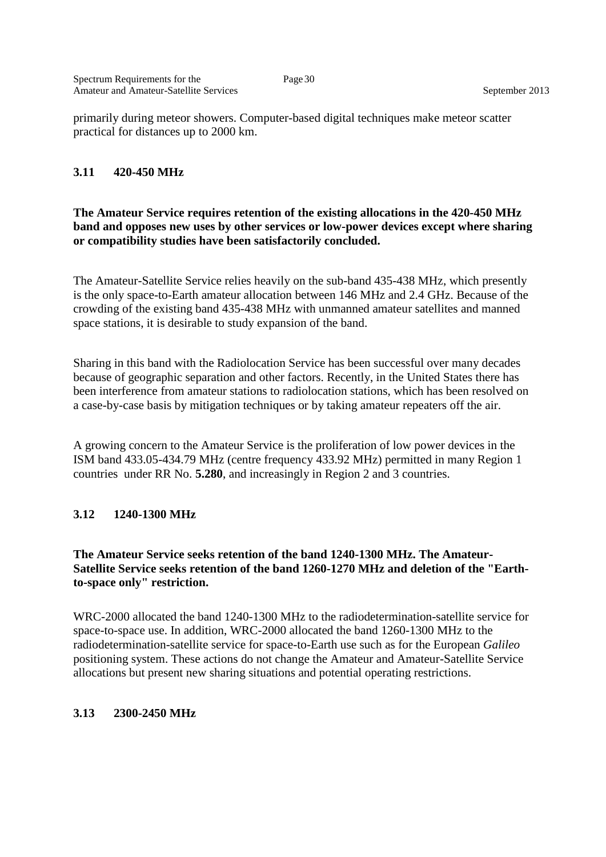primarily during meteor showers. Computer-based digital techniques make meteor scatter practical for distances up to 2000 km.

#### **3.11 420-450 MHz**

#### **The Amateur Service requires retention of the existing allocations in the 420-450 MHz band and opposes new uses by other services or low-power devices except where sharing or compatibility studies have been satisfactorily concluded.**

The Amateur-Satellite Service relies heavily on the sub-band 435-438 MHz, which presently is the only space-to-Earth amateur allocation between 146 MHz and 2.4 GHz. Because of the crowding of the existing band 435-438 MHz with unmanned amateur satellites and manned space stations, it is desirable to study expansion of the band.

Sharing in this band with the Radiolocation Service has been successful over many decades because of geographic separation and other factors. Recently, in the United States there has been interference from amateur stations to radiolocation stations, which has been resolved on a case-by-case basis by mitigation techniques or by taking amateur repeaters off the air.

A growing concern to the Amateur Service is the proliferation of low power devices in the ISM band 433.05-434.79 MHz (centre frequency 433.92 MHz) permitted in many Region 1 countries under RR No. **5.280**, and increasingly in Region 2 and 3 countries.

#### **3.12 1240-1300 MHz**

#### **The Amateur Service seeks retention of the band 1240-1300 MHz. The Amateur-Satellite Service seeks retention of the band 1260-1270 MHz and deletion of the "Earthto-space only" restriction.**

WRC-2000 allocated the band 1240-1300 MHz to the radiodetermination-satellite service for space-to-space use. In addition, WRC-2000 allocated the band 1260-1300 MHz to the radiodetermination-satellite service for space-to-Earth use such as for the European *Galileo*  positioning system. These actions do not change the Amateur and Amateur-Satellite Service allocations but present new sharing situations and potential operating restrictions.

#### **3.13 2300-2450 MHz**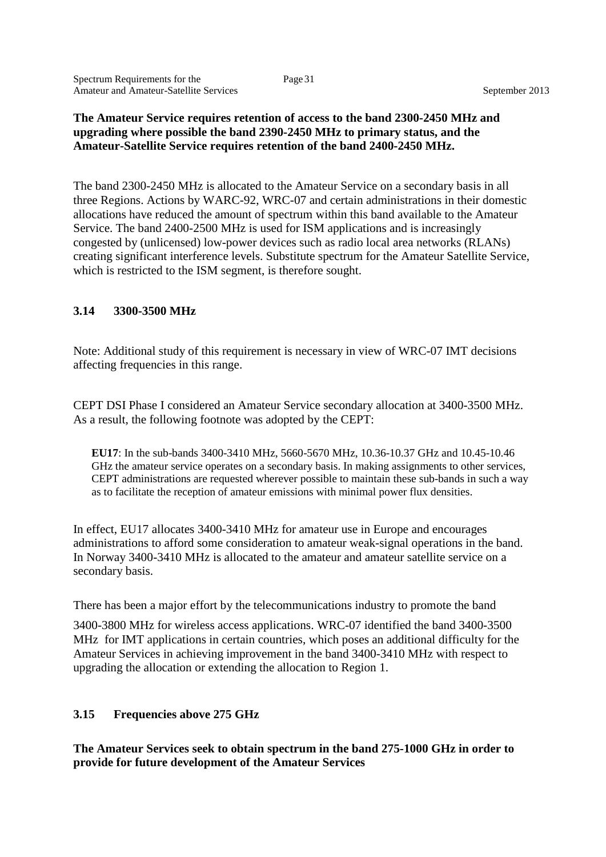#### **The Amateur Service requires retention of access to the band 2300-2450 MHz and upgrading where possible the band 2390-2450 MHz to primary status, and the Amateur-Satellite Service requires retention of the band 2400-2450 MHz.**

The band 2300-2450 MHz is allocated to the Amateur Service on a secondary basis in all three Regions. Actions by WARC-92, WRC-07 and certain administrations in their domestic allocations have reduced the amount of spectrum within this band available to the Amateur Service. The band 2400-2500 MHz is used for ISM applications and is increasingly congested by (unlicensed) low-power devices such as radio local area networks (RLANs) creating significant interference levels. Substitute spectrum for the Amateur Satellite Service, which is restricted to the ISM segment, is therefore sought.

#### **3.14 3300-3500 MHz**

Note: Additional study of this requirement is necessary in view of WRC-07 IMT decisions affecting frequencies in this range.

CEPT DSI Phase I considered an Amateur Service secondary allocation at 3400-3500 MHz. As a result, the following footnote was adopted by the CEPT:

**EU17**: In the sub-bands 3400-3410 MHz, 5660-5670 MHz, 10.36-10.37 GHz and 10.45-10.46 GHz the amateur service operates on a secondary basis. In making assignments to other services, CEPT administrations are requested wherever possible to maintain these sub-bands in such a way as to facilitate the reception of amateur emissions with minimal power flux densities.

In effect, EU17 allocates 3400-3410 MHz for amateur use in Europe and encourages administrations to afford some consideration to amateur weak-signal operations in the band. In Norway 3400-3410 MHz is allocated to the amateur and amateur satellite service on a secondary basis.

There has been a major effort by the telecommunications industry to promote the band

3400-3800 MHz for wireless access applications. WRC-07 identified the band 3400-3500 MHz for IMT applications in certain countries, which poses an additional difficulty for the Amateur Services in achieving improvement in the band 3400-3410 MHz with respect to upgrading the allocation or extending the allocation to Region 1.

#### **3.15 Frequencies above 275 GHz**

**The Amateur Services seek to obtain spectrum in the band 275-1000 GHz in order to provide for future development of the Amateur Services**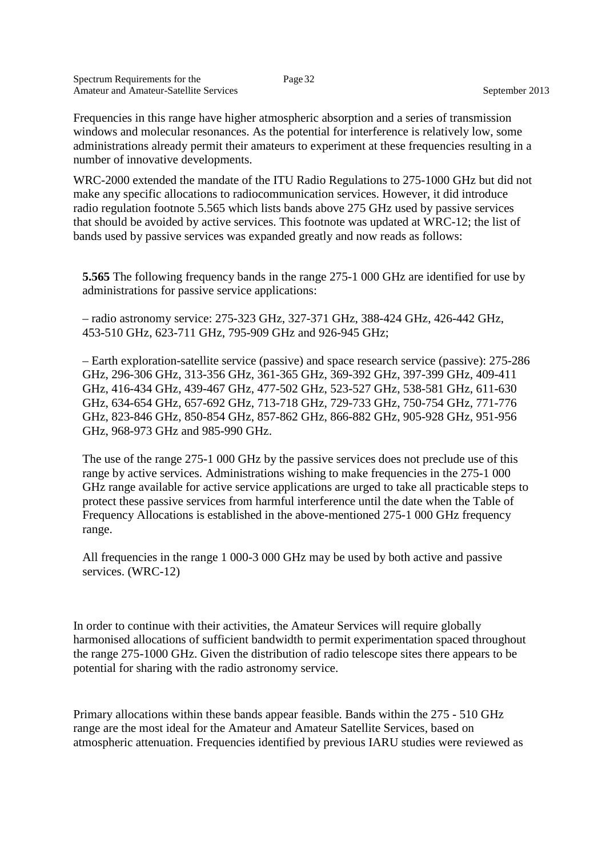Frequencies in this range have higher atmospheric absorption and a series of transmission windows and molecular resonances. As the potential for interference is relatively low, some administrations already permit their amateurs to experiment at these frequencies resulting in a number of innovative developments.

WRC-2000 extended the mandate of the ITU Radio Regulations to 275-1000 GHz but did not make any specific allocations to radiocommunication services. However, it did introduce radio regulation footnote 5.565 which lists bands above 275 GHz used by passive services that should be avoided by active services. This footnote was updated at WRC-12; the list of bands used by passive services was expanded greatly and now reads as follows:

**5.565** The following frequency bands in the range 275-1 000 GHz are identified for use by administrations for passive service applications:

– radio astronomy service: 275-323 GHz, 327-371 GHz, 388-424 GHz, 426-442 GHz, 453-510 GHz, 623-711 GHz, 795-909 GHz and 926-945 GHz;

– Earth exploration-satellite service (passive) and space research service (passive): 275-286 GHz, 296-306 GHz, 313-356 GHz, 361-365 GHz, 369-392 GHz, 397-399 GHz, 409-411 GHz, 416-434 GHz, 439-467 GHz, 477-502 GHz, 523-527 GHz, 538-581 GHz, 611-630 GHz, 634-654 GHz, 657-692 GHz, 713-718 GHz, 729-733 GHz, 750-754 GHz, 771-776 GHz, 823-846 GHz, 850-854 GHz, 857-862 GHz, 866-882 GHz, 905-928 GHz, 951-956 GHz, 968-973 GHz and 985-990 GHz.

The use of the range 275-1 000 GHz by the passive services does not preclude use of this range by active services. Administrations wishing to make frequencies in the 275-1 000 GHz range available for active service applications are urged to take all practicable steps to protect these passive services from harmful interference until the date when the Table of Frequency Allocations is established in the above-mentioned 275-1 000 GHz frequency range.

All frequencies in the range 1 000-3 000 GHz may be used by both active and passive services. (WRC-12)

In order to continue with their activities, the Amateur Services will require globally harmonised allocations of sufficient bandwidth to permit experimentation spaced throughout the range 275-1000 GHz. Given the distribution of radio telescope sites there appears to be potential for sharing with the radio astronomy service.

Primary allocations within these bands appear feasible. Bands within the 275 - 510 GHz range are the most ideal for the Amateur and Amateur Satellite Services, based on atmospheric attenuation. Frequencies identified by previous IARU studies were reviewed as